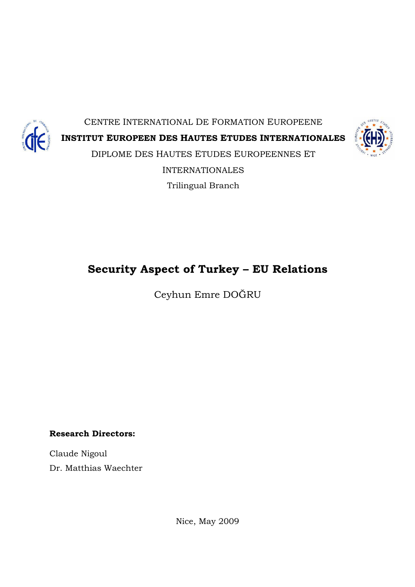

CENTRE INTERNATIONAL DE FORMATION EUROPEENE INSTITUT EUROPEEN DES HAUTES ETUDES INTERNATIONALES DIPLOME DES HAUTES ETUDES EUROPEENNES ET INTERNATIONALES Trilingual Branch



## Security Aspect of Turkey – EU Relations

Ceyhun Emre DOĞRU

Research Directors:

Claude Nigoul Dr. Matthias Waechter

Nice, May 2009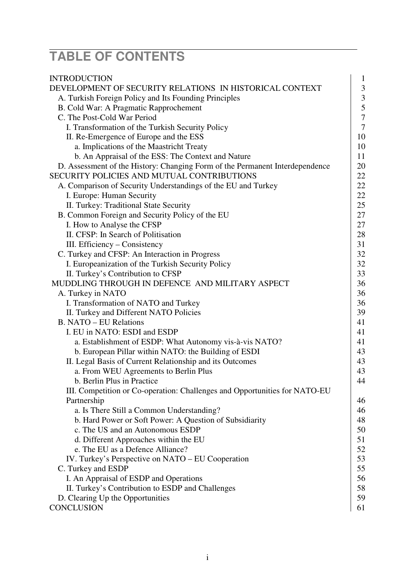# **TABLE OF CONTENTS**

| <b>INTRODUCTION</b>                                                          | 1                |
|------------------------------------------------------------------------------|------------------|
| DEVELOPMENT OF SECURITY RELATIONS IN HISTORICAL CONTEXT                      | $\mathfrak{Z}$   |
| A. Turkish Foreign Policy and Its Founding Principles                        | $\mathfrak{Z}$   |
| B. Cold War: A Pragmatic Rapprochement                                       | 5                |
| C. The Post-Cold War Period                                                  | $\boldsymbol{7}$ |
| I. Transformation of the Turkish Security Policy                             | $\tau$           |
| II. Re-Emergence of Europe and the ESS                                       | 10               |
| a. Implications of the Maastricht Treaty                                     | 10               |
| b. An Appraisal of the ESS: The Context and Nature                           | 11               |
| D. Assessment of the History: Changing Form of the Permanent Interdependence | 20               |
| SECURITY POLICIES AND MUTUAL CONTRIBUTIONS                                   | 22               |
| A. Comparison of Security Understandings of the EU and Turkey                | 22               |
| I. Europe: Human Security                                                    | 22               |
| II. Turkey: Traditional State Security                                       | 25               |
| B. Common Foreign and Security Policy of the EU                              | 27               |
| I. How to Analyse the CFSP                                                   | 27               |
| II. CFSP: In Search of Politisation                                          | 28               |
| III. Efficiency – Consistency                                                | 31               |
| C. Turkey and CFSP: An Interaction in Progress                               | 32               |
| I. Europeanization of the Turkish Security Policy                            | 32               |
| II. Turkey's Contribution to CFSP                                            | 33               |
| MUDDLING THROUGH IN DEFENCE AND MILITARY ASPECT                              | 36               |
| A. Turkey in NATO                                                            | 36               |
| I. Transformation of NATO and Turkey                                         | 36               |
| II. Turkey and Different NATO Policies                                       | 39               |
| <b>B. NATO – EU Relations</b>                                                | 41               |
| I. EU in NATO: ESDI and ESDP                                                 | 41               |
| a. Establishment of ESDP: What Autonomy vis-à-vis NATO?                      | 41               |
| b. European Pillar within NATO: the Building of ESDI                         | 43               |
| II. Legal Basis of Current Relationship and its Outcomes                     | 43               |
| a. From WEU Agreements to Berlin Plus                                        | 43               |
| b. Berlin Plus in Practice                                                   | 44               |
| III. Competition or Co-operation: Challenges and Opportunities for NATO-EU   |                  |
| Partnership                                                                  | 46               |
| a. Is There Still a Common Understanding?                                    | 46               |
| b. Hard Power or Soft Power: A Question of Subsidiarity                      | 48               |
| c. The US and an Autonomous ESDP                                             | 50               |
| d. Different Approaches within the EU                                        | 51               |
| e. The EU as a Defence Alliance?                                             | 52               |
| IV. Turkey's Perspective on NATO – EU Cooperation                            | 53               |
| C. Turkey and ESDP                                                           | 55               |
| I. An Appraisal of ESDP and Operations                                       | 56               |
| II. Turkey's Contribution to ESDP and Challenges                             | 58               |
| D. Clearing Up the Opportunities                                             | 59               |
| <b>CONCLUSION</b>                                                            | 61               |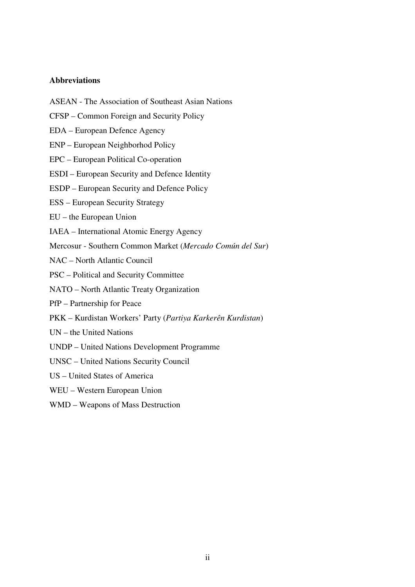## **Abbreviations**

- ASEAN The Association of Southeast Asian Nations
- CFSP Common Foreign and Security Policy
- EDA European Defence Agency
- ENP European Neighborhod Policy
- EPC European Political Co-operation
- ESDI European Security and Defence Identity
- ESDP European Security and Defence Policy
- ESS European Security Strategy
- EU the European Union
- IAEA International Atomic Energy Agency
- Mercosur Southern Common Market (*Mercado Común del Sur*)
- NAC North Atlantic Council
- PSC Political and Security Committee
- NATO North Atlantic Treaty Organization
- PfP Partnership for Peace
- PKK Kurdistan Workers' Party (*Partiya Karkerên Kurdistan*)
- UN the United Nations
- UNDP United Nations Development Programme
- UNSC United Nations Security Council
- US United States of America
- WEU Western European Union
- WMD Weapons of Mass Destruction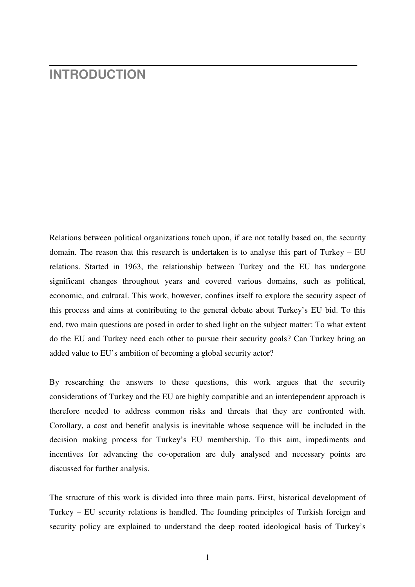## **INTRODUCTION**

Relations between political organizations touch upon, if are not totally based on, the security domain. The reason that this research is undertaken is to analyse this part of Turkey – EU relations. Started in 1963, the relationship between Turkey and the EU has undergone significant changes throughout years and covered various domains, such as political, economic, and cultural. This work, however, confines itself to explore the security aspect of this process and aims at contributing to the general debate about Turkey's EU bid. To this end, two main questions are posed in order to shed light on the subject matter: To what extent do the EU and Turkey need each other to pursue their security goals? Can Turkey bring an added value to EU's ambition of becoming a global security actor?

By researching the answers to these questions, this work argues that the security considerations of Turkey and the EU are highly compatible and an interdependent approach is therefore needed to address common risks and threats that they are confronted with. Corollary, a cost and benefit analysis is inevitable whose sequence will be included in the decision making process for Turkey's EU membership. To this aim, impediments and incentives for advancing the co-operation are duly analysed and necessary points are discussed for further analysis.

The structure of this work is divided into three main parts. First, historical development of Turkey – EU security relations is handled. The founding principles of Turkish foreign and security policy are explained to understand the deep rooted ideological basis of Turkey's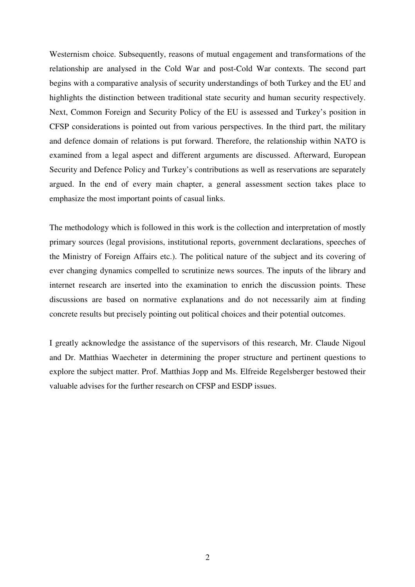Westernism choice. Subsequently, reasons of mutual engagement and transformations of the relationship are analysed in the Cold War and post-Cold War contexts. The second part begins with a comparative analysis of security understandings of both Turkey and the EU and highlights the distinction between traditional state security and human security respectively. Next, Common Foreign and Security Policy of the EU is assessed and Turkey's position in CFSP considerations is pointed out from various perspectives. In the third part, the military and defence domain of relations is put forward. Therefore, the relationship within NATO is examined from a legal aspect and different arguments are discussed. Afterward, European Security and Defence Policy and Turkey's contributions as well as reservations are separately argued. In the end of every main chapter, a general assessment section takes place to emphasize the most important points of casual links.

The methodology which is followed in this work is the collection and interpretation of mostly primary sources (legal provisions, institutional reports, government declarations, speeches of the Ministry of Foreign Affairs etc.). The political nature of the subject and its covering of ever changing dynamics compelled to scrutinize news sources. The inputs of the library and internet research are inserted into the examination to enrich the discussion points. These discussions are based on normative explanations and do not necessarily aim at finding concrete results but precisely pointing out political choices and their potential outcomes.

I greatly acknowledge the assistance of the supervisors of this research, Mr. Claude Nigoul and Dr. Matthias Waecheter in determining the proper structure and pertinent questions to explore the subject matter. Prof. Matthias Jopp and Ms. Elfreide Regelsberger bestowed their valuable advises for the further research on CFSP and ESDP issues.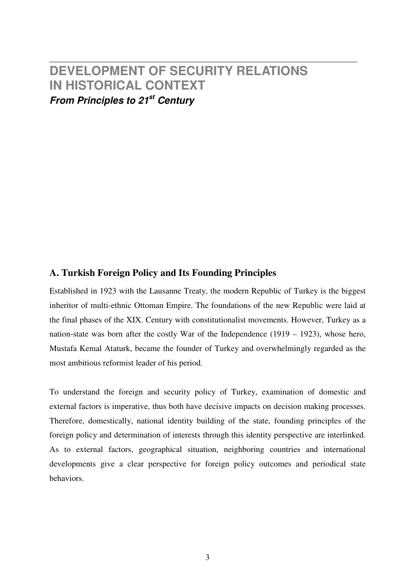## **DEVELOPMENT OF SECURITY RELATIONS IN HISTORICAL CONTEXT From Principles to 21st Century**

## **A. Turkish Foreign Policy and Its Founding Principles**

Established in 1923 with the Lausanne Treaty, the modern Republic of Turkey is the biggest inheritor of multi-ethnic Ottoman Empire. The foundations of the new Republic were laid at the final phases of the XIX. Century with constitutionalist movements. However, Turkey as a nation-state was born after the costly War of the Independence (1919 – 1923), whose hero, Mustafa Kemal Ataturk, became the founder of Turkey and overwhelmingly regarded as the most ambitious reformist leader of his period.

To understand the foreign and security policy of Turkey, examination of domestic and external factors is imperative, thus both have decisive impacts on decision making processes. Therefore, domestically, national identity building of the state, founding principles of the foreign policy and determination of interests through this identity perspective are interlinked. As to external factors, geographical situation, neighboring countries and international developments give a clear perspective for foreign policy outcomes and periodical state behaviors.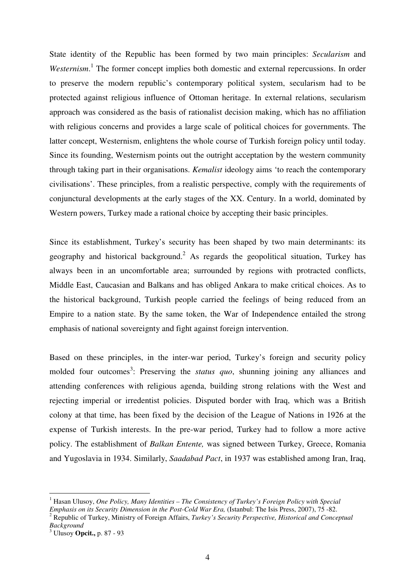State identity of the Republic has been formed by two main principles: *Secularism* and Westernism.<sup>1</sup> The former concept implies both domestic and external repercussions. In order to preserve the modern republic's contemporary political system, secularism had to be protected against religious influence of Ottoman heritage. In external relations, secularism approach was considered as the basis of rationalist decision making, which has no affiliation with religious concerns and provides a large scale of political choices for governments. The latter concept, Westernism, enlightens the whole course of Turkish foreign policy until today. Since its founding, Westernism points out the outright acceptation by the western community through taking part in their organisations. *Kemalist* ideology aims 'to reach the contemporary civilisations'. These principles, from a realistic perspective, comply with the requirements of conjunctural developments at the early stages of the XX. Century. In a world, dominated by Western powers, Turkey made a rational choice by accepting their basic principles.

Since its establishment, Turkey's security has been shaped by two main determinants: its geography and historical background.<sup>2</sup> As regards the geopolitical situation, Turkey has always been in an uncomfortable area; surrounded by regions with protracted conflicts, Middle East, Caucasian and Balkans and has obliged Ankara to make critical choices. As to the historical background, Turkish people carried the feelings of being reduced from an Empire to a nation state. By the same token, the War of Independence entailed the strong emphasis of national sovereignty and fight against foreign intervention.

Based on these principles, in the inter-war period, Turkey's foreign and security policy molded four outcomes<sup>3</sup>: Preserving the *status quo*, shunning joining any alliances and attending conferences with religious agenda, building strong relations with the West and rejecting imperial or irredentist policies. Disputed border with Iraq, which was a British colony at that time, has been fixed by the decision of the League of Nations in 1926 at the expense of Turkish interests. In the pre-war period, Turkey had to follow a more active policy. The establishment of *Balkan Entente,* was signed between Turkey, Greece, Romania and Yugoslavia in 1934. Similarly, *Saadabad Pact*, in 1937 was established among Iran, Iraq,

<sup>&</sup>lt;sup>1</sup> Hasan Ulusoy, *One Policy, Many Identities – The Consistency of Turkey's Foreign Policy with Special Emphasis on its Security Dimension in the Post-Cold War Era,* (Istanbul: The Isis Press, 2007), 75 -82.

<sup>2</sup> Republic of Turkey, Ministry of Foreign Affairs, *Turkey's Security Perspective, Historical and Conceptual Background*

<sup>3</sup> Ulusoy **Opcit.,** p. 87 - 93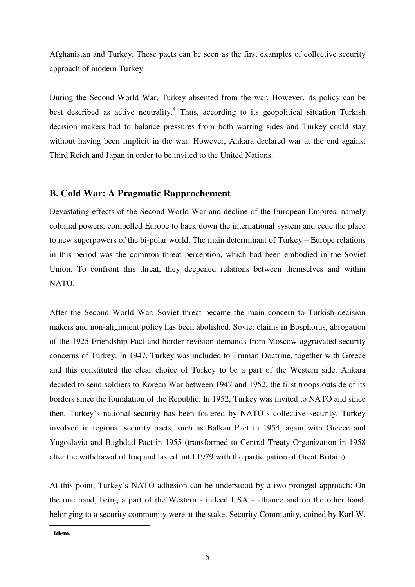Afghanistan and Turkey. These pacts can be seen as the first examples of collective security approach of modern Turkey.

During the Second World War, Turkey absented from the war. However, its policy can be best described as active neutrality.<sup>4</sup> Thus, according to its geopolitical situation Turkish decision makers had to balance pressures from both warring sides and Turkey could stay without having been implicit in the war. However, Ankara declared war at the end against Third Reich and Japan in order to be invited to the United Nations.

## **B. Cold War: A Pragmatic Rapprochement**

Devastating effects of the Second World War and decline of the European Empires, namely colonial powers, compelled Europe to back down the international system and cede the place to new superpowers of the bi-polar world. The main determinant of Turkey – Europe relations in this period was the common threat perception, which had been embodied in the Soviet Union. To confront this threat, they deepened relations between themselves and within NATO.

After the Second World War, Soviet threat became the main concern to Turkish decision makers and non-alignment policy has been abolished. Soviet claims in Bosphorus, abrogation of the 1925 Friendship Pact and border revision demands from Moscow aggravated security concerns of Turkey. In 1947, Turkey was included to Truman Doctrine, together with Greece and this constituted the clear choice of Turkey to be a part of the Western side. Ankara decided to send soldiers to Korean War between 1947 and 1952, the first troops outside of its borders since the foundation of the Republic. In 1952, Turkey was invited to NATO and since then, Turkey's national security has been fostered by NATO's collective security. Turkey involved in regional security pacts, such as Balkan Pact in 1954, again with Greece and Yugoslavia and Baghdad Pact in 1955 (transformed to Central Treaty Organization in 1958 after the withdrawal of Iraq and lasted until 1979 with the participation of Great Britain).

At this point, Turkey's NATO adhesion can be understood by a two-pronged approach: On the one hand, being a part of the Western - indeed USA - alliance and on the other hand, belonging to a security community were at the stake. Security Community, coined by Karl W.

4 **Idem.**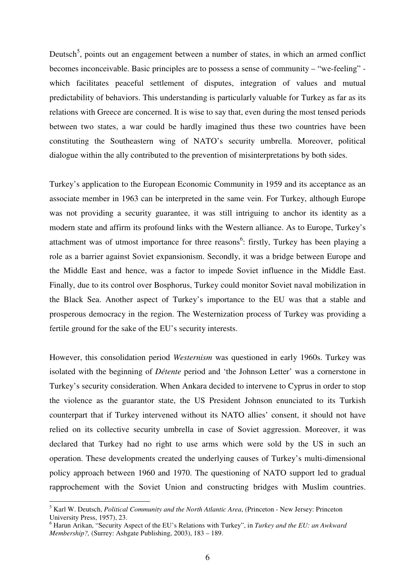Deutsch<sup>5</sup>, points out an engagement between a number of states, in which an armed conflict becomes inconceivable. Basic principles are to possess a sense of community – "we-feeling" which facilitates peaceful settlement of disputes, integration of values and mutual predictability of behaviors. This understanding is particularly valuable for Turkey as far as its relations with Greece are concerned. It is wise to say that, even during the most tensed periods between two states, a war could be hardly imagined thus these two countries have been constituting the Southeastern wing of NATO's security umbrella. Moreover, political dialogue within the ally contributed to the prevention of misinterpretations by both sides.

Turkey's application to the European Economic Community in 1959 and its acceptance as an associate member in 1963 can be interpreted in the same vein. For Turkey, although Europe was not providing a security guarantee, it was still intriguing to anchor its identity as a modern state and affirm its profound links with the Western alliance. As to Europe, Turkey's attachment was of utmost importance for three reasons<sup>6</sup>: firstly, Turkey has been playing a role as a barrier against Soviet expansionism. Secondly, it was a bridge between Europe and the Middle East and hence, was a factor to impede Soviet influence in the Middle East. Finally, due to its control over Bosphorus, Turkey could monitor Soviet naval mobilization in the Black Sea. Another aspect of Turkey's importance to the EU was that a stable and prosperous democracy in the region. The Westernization process of Turkey was providing a fertile ground for the sake of the EU's security interests.

However, this consolidation period *Westernism* was questioned in early 1960s. Turkey was isolated with the beginning of *Détente* period and 'the Johnson Letter' was a cornerstone in Turkey's security consideration. When Ankara decided to intervene to Cyprus in order to stop the violence as the guarantor state, the US President Johnson enunciated to its Turkish counterpart that if Turkey intervened without its NATO allies' consent, it should not have relied on its collective security umbrella in case of Soviet aggression. Moreover, it was declared that Turkey had no right to use arms which were sold by the US in such an operation. These developments created the underlying causes of Turkey's multi-dimensional policy approach between 1960 and 1970. The questioning of NATO support led to gradual rapprochement with the Soviet Union and constructing bridges with Muslim countries.

<sup>5</sup> Karl W. Deutsch, *Political Community and the North Atlantic Area*, (Princeton - New Jersey: Princeton University Press, 1957), 23.

<sup>6</sup> Harun Arikan, "Security Aspect of the EU's Relations with Turkey", in *Turkey and the EU: an Awkward Membership?,* (Surrey: Ashgate Publishing, 2003), 183 – 189.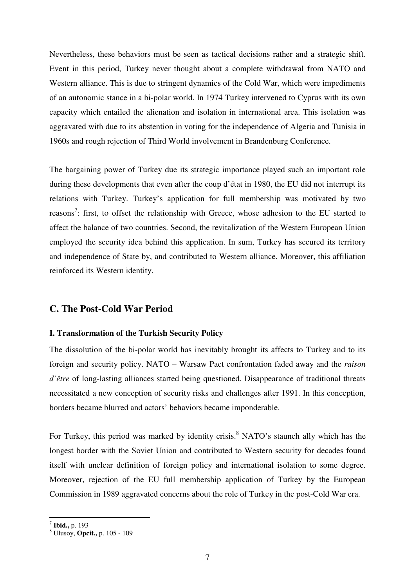Nevertheless, these behaviors must be seen as tactical decisions rather and a strategic shift. Event in this period, Turkey never thought about a complete withdrawal from NATO and Western alliance. This is due to stringent dynamics of the Cold War, which were impediments of an autonomic stance in a bi-polar world. In 1974 Turkey intervened to Cyprus with its own capacity which entailed the alienation and isolation in international area. This isolation was aggravated with due to its abstention in voting for the independence of Algeria and Tunisia in 1960s and rough rejection of Third World involvement in Brandenburg Conference.

The bargaining power of Turkey due its strategic importance played such an important role during these developments that even after the coup d'état in 1980, the EU did not interrupt its relations with Turkey. Turkey's application for full membership was motivated by two reasons<sup>7</sup>: first, to offset the relationship with Greece, whose adhesion to the EU started to affect the balance of two countries. Second, the revitalization of the Western European Union employed the security idea behind this application. In sum, Turkey has secured its territory and independence of State by, and contributed to Western alliance. Moreover, this affiliation reinforced its Western identity.

## **C. The Post-Cold War Period**

#### **I. Transformation of the Turkish Security Policy**

The dissolution of the bi-polar world has inevitably brought its affects to Turkey and to its foreign and security policy. NATO – Warsaw Pact confrontation faded away and the *raison d'être* of long-lasting alliances started being questioned. Disappearance of traditional threats necessitated a new conception of security risks and challenges after 1991. In this conception, borders became blurred and actors' behaviors became imponderable.

For Turkey, this period was marked by identity crisis.<sup>8</sup> NATO's staunch ally which has the longest border with the Soviet Union and contributed to Western security for decades found itself with unclear definition of foreign policy and international isolation to some degree. Moreover, rejection of the EU full membership application of Turkey by the European Commission in 1989 aggravated concerns about the role of Turkey in the post-Cold War era.

 7 **Ibid.,** p. 193

<sup>8</sup> Ulusoy, **Opcit.,** p. 105 - 109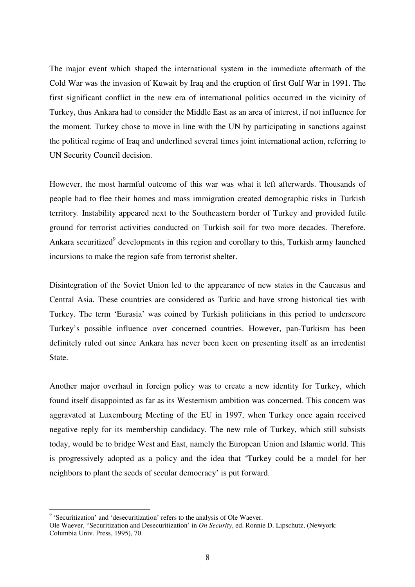The major event which shaped the international system in the immediate aftermath of the Cold War was the invasion of Kuwait by Iraq and the eruption of first Gulf War in 1991. The first significant conflict in the new era of international politics occurred in the vicinity of Turkey, thus Ankara had to consider the Middle East as an area of interest, if not influence for the moment. Turkey chose to move in line with the UN by participating in sanctions against the political regime of Iraq and underlined several times joint international action, referring to UN Security Council decision.

However, the most harmful outcome of this war was what it left afterwards. Thousands of people had to flee their homes and mass immigration created demographic risks in Turkish territory. Instability appeared next to the Southeastern border of Turkey and provided futile ground for terrorist activities conducted on Turkish soil for two more decades. Therefore, Ankara securitized<sup>9</sup> developments in this region and corollary to this, Turkish army launched incursions to make the region safe from terrorist shelter.

Disintegration of the Soviet Union led to the appearance of new states in the Caucasus and Central Asia. These countries are considered as Turkic and have strong historical ties with Turkey. The term 'Eurasia' was coined by Turkish politicians in this period to underscore Turkey's possible influence over concerned countries. However, pan-Turkism has been definitely ruled out since Ankara has never been keen on presenting itself as an irredentist State.

Another major overhaul in foreign policy was to create a new identity for Turkey, which found itself disappointed as far as its Westernism ambition was concerned. This concern was aggravated at Luxembourg Meeting of the EU in 1997, when Turkey once again received negative reply for its membership candidacy. The new role of Turkey, which still subsists today, would be to bridge West and East, namely the European Union and Islamic world. This is progressively adopted as a policy and the idea that 'Turkey could be a model for her neighbors to plant the seeds of secular democracy' is put forward.

 9 'Securitization' and 'desecuritization' refers to the analysis of Ole Waever.

Ole Waever, "Securitization and Desecuritization' in *On Security*, ed. Ronnie D. Lipschutz, (Newyork: Columbia Univ. Press, 1995), 70.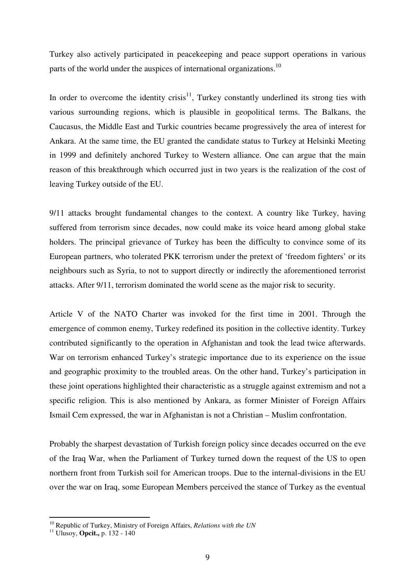Turkey also actively participated in peacekeeping and peace support operations in various parts of the world under the auspices of international organizations.<sup>10</sup>

In order to overcome the identity crisis<sup>11</sup>, Turkey constantly underlined its strong ties with various surrounding regions, which is plausible in geopolitical terms. The Balkans, the Caucasus, the Middle East and Turkic countries became progressively the area of interest for Ankara. At the same time, the EU granted the candidate status to Turkey at Helsinki Meeting in 1999 and definitely anchored Turkey to Western alliance. One can argue that the main reason of this breakthrough which occurred just in two years is the realization of the cost of leaving Turkey outside of the EU.

9/11 attacks brought fundamental changes to the context. A country like Turkey, having suffered from terrorism since decades, now could make its voice heard among global stake holders. The principal grievance of Turkey has been the difficulty to convince some of its European partners, who tolerated PKK terrorism under the pretext of 'freedom fighters' or its neighbours such as Syria, to not to support directly or indirectly the aforementioned terrorist attacks. After 9/11, terrorism dominated the world scene as the major risk to security.

Article V of the NATO Charter was invoked for the first time in 2001. Through the emergence of common enemy, Turkey redefined its position in the collective identity. Turkey contributed significantly to the operation in Afghanistan and took the lead twice afterwards. War on terrorism enhanced Turkey's strategic importance due to its experience on the issue and geographic proximity to the troubled areas. On the other hand, Turkey's participation in these joint operations highlighted their characteristic as a struggle against extremism and not a specific religion. This is also mentioned by Ankara, as former Minister of Foreign Affairs Ismail Cem expressed, the war in Afghanistan is not a Christian – Muslim confrontation.

Probably the sharpest devastation of Turkish foreign policy since decades occurred on the eve of the Iraq War, when the Parliament of Turkey turned down the request of the US to open northern front from Turkish soil for American troops. Due to the internal-divisions in the EU over the war on Iraq, some European Members perceived the stance of Turkey as the eventual

<sup>10</sup> Republic of Turkey, Ministry of Foreign Affairs, *Relations with the UN*

<sup>11</sup> Ulusoy, **Opcit.,** p. 132 - 140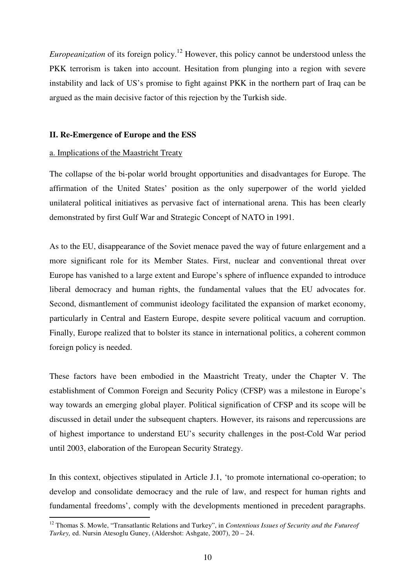*Europeanization* of its foreign policy.<sup>12</sup> However, this policy cannot be understood unless the PKK terrorism is taken into account. Hesitation from plunging into a region with severe instability and lack of US's promise to fight against PKK in the northern part of Iraq can be argued as the main decisive factor of this rejection by the Turkish side.

#### **II. Re-Emergence of Europe and the ESS**

#### a. Implications of the Maastricht Treaty

 $\overline{a}$ 

The collapse of the bi-polar world brought opportunities and disadvantages for Europe. The affirmation of the United States' position as the only superpower of the world yielded unilateral political initiatives as pervasive fact of international arena. This has been clearly demonstrated by first Gulf War and Strategic Concept of NATO in 1991.

As to the EU, disappearance of the Soviet menace paved the way of future enlargement and a more significant role for its Member States. First, nuclear and conventional threat over Europe has vanished to a large extent and Europe's sphere of influence expanded to introduce liberal democracy and human rights, the fundamental values that the EU advocates for. Second, dismantlement of communist ideology facilitated the expansion of market economy, particularly in Central and Eastern Europe, despite severe political vacuum and corruption. Finally, Europe realized that to bolster its stance in international politics, a coherent common foreign policy is needed.

These factors have been embodied in the Maastricht Treaty, under the Chapter V. The establishment of Common Foreign and Security Policy (CFSP) was a milestone in Europe's way towards an emerging global player. Political signification of CFSP and its scope will be discussed in detail under the subsequent chapters. However, its raisons and repercussions are of highest importance to understand EU's security challenges in the post-Cold War period until 2003, elaboration of the European Security Strategy.

In this context, objectives stipulated in Article J.1, 'to promote international co-operation; to develop and consolidate democracy and the rule of law, and respect for human rights and fundamental freedoms', comply with the developments mentioned in precedent paragraphs.

<sup>12</sup> Thomas S. Mowle, "Transatlantic Relations and Turkey", in *Contentious Issues of Security and the Futureof Turkey,* ed. Nursin Atesoglu Guney, (Aldershot: Ashgate, 2007), 20 – 24.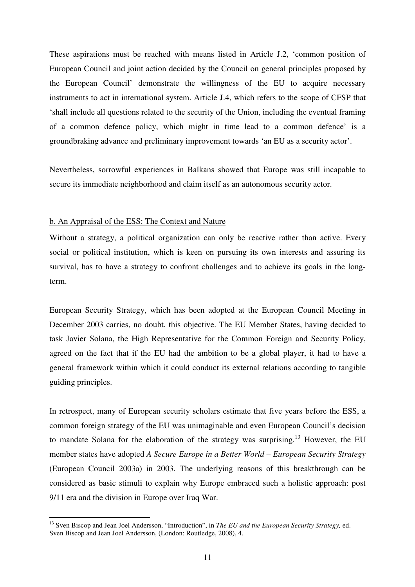These aspirations must be reached with means listed in Article J.2, 'common position of European Council and joint action decided by the Council on general principles proposed by the European Council' demonstrate the willingness of the EU to acquire necessary instruments to act in international system. Article J.4, which refers to the scope of CFSP that 'shall include all questions related to the security of the Union, including the eventual framing of a common defence policy, which might in time lead to a common defence' is a groundbraking advance and preliminary improvement towards 'an EU as a security actor'.

Nevertheless, sorrowful experiences in Balkans showed that Europe was still incapable to secure its immediate neighborhood and claim itself as an autonomous security actor.

#### b. An Appraisal of the ESS: The Context and Nature

 $\overline{a}$ 

Without a strategy, a political organization can only be reactive rather than active. Every social or political institution, which is keen on pursuing its own interests and assuring its survival, has to have a strategy to confront challenges and to achieve its goals in the longterm.

European Security Strategy, which has been adopted at the European Council Meeting in December 2003 carries, no doubt, this objective. The EU Member States, having decided to task Javier Solana, the High Representative for the Common Foreign and Security Policy, agreed on the fact that if the EU had the ambition to be a global player, it had to have a general framework within which it could conduct its external relations according to tangible guiding principles.

In retrospect, many of European security scholars estimate that five years before the ESS, a common foreign strategy of the EU was unimaginable and even European Council's decision to mandate Solana for the elaboration of the strategy was surprising.<sup>13</sup> However, the EU member states have adopted *A Secure Europe in a Better World – European Security Strategy* (European Council 2003a) in 2003. The underlying reasons of this breakthrough can be considered as basic stimuli to explain why Europe embraced such a holistic approach: post 9/11 era and the division in Europe over Iraq War.

<sup>13</sup> Sven Biscop and Jean Joel Andersson, "Introduction", in *The EU and the European Security Strategy,* ed. Sven Biscop and Jean Joel Andersson, (London: Routledge, 2008), 4.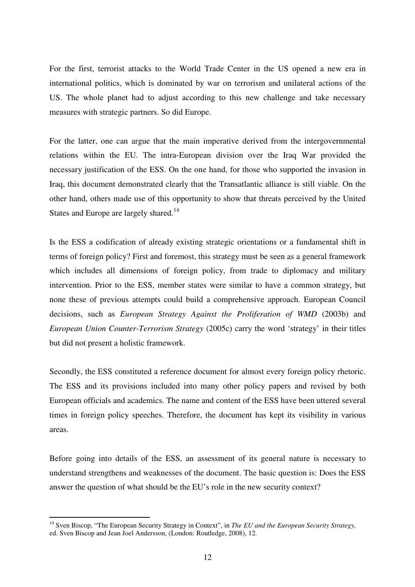For the first, terrorist attacks to the World Trade Center in the US opened a new era in international politics, which is dominated by war on terrorism and unilateral actions of the US. The whole planet had to adjust according to this new challenge and take necessary measures with strategic partners. So did Europe.

For the latter, one can argue that the main imperative derived from the intergovernmental relations within the EU. The intra-European division over the Iraq War provided the necessary justification of the ESS. On the one hand, for those who supported the invasion in Iraq, this document demonstrated clearly that the Transatlantic alliance is still viable. On the other hand, others made use of this opportunity to show that threats perceived by the United States and Europe are largely shared.<sup>14</sup>

Is the ESS a codification of already existing strategic orientations or a fundamental shift in terms of foreign policy? First and foremost, this strategy must be seen as a general framework which includes all dimensions of foreign policy, from trade to diplomacy and military intervention. Prior to the ESS, member states were similar to have a common strategy, but none these of previous attempts could build a comprehensive approach. European Council decisions, such as *European Strategy Against the Proliferation of WMD* (2003b) and *European Union Counter-Terrorism Strategy* (2005c) carry the word 'strategy' in their titles but did not present a holistic framework.

Secondly, the ESS constituted a reference document for almost every foreign policy rhetoric. The ESS and its provisions included into many other policy papers and revised by both European officials and academics. The name and content of the ESS have been uttered several times in foreign policy speeches. Therefore, the document has kept its visibility in various areas.

Before going into details of the ESS, an assessment of its general nature is necessary to understand strengthens and weaknesses of the document. The basic question is: Does the ESS answer the question of what should be the EU's role in the new security context?

<sup>&</sup>lt;sup>14</sup> Sven Biscop, "The European Security Strategy in Context", in *The EU and the European Security Strategy*, ed. Sven Biscop and Jean Joel Andersson, (London: Routledge, 2008), 12.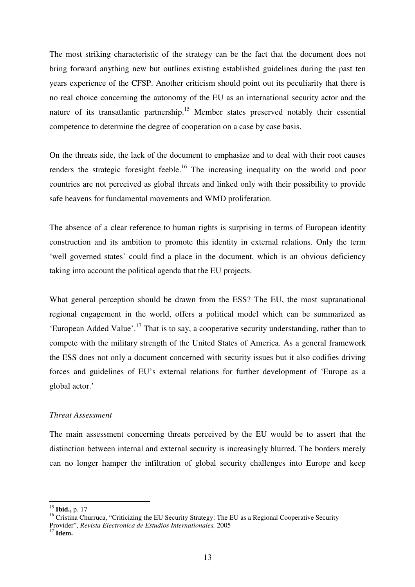The most striking characteristic of the strategy can be the fact that the document does not bring forward anything new but outlines existing established guidelines during the past ten years experience of the CFSP. Another criticism should point out its peculiarity that there is no real choice concerning the autonomy of the EU as an international security actor and the nature of its transatlantic partnership.<sup>15</sup> Member states preserved notably their essential competence to determine the degree of cooperation on a case by case basis.

On the threats side, the lack of the document to emphasize and to deal with their root causes renders the strategic foresight feeble.<sup>16</sup> The increasing inequality on the world and poor countries are not perceived as global threats and linked only with their possibility to provide safe heavens for fundamental movements and WMD proliferation.

The absence of a clear reference to human rights is surprising in terms of European identity construction and its ambition to promote this identity in external relations. Only the term 'well governed states' could find a place in the document, which is an obvious deficiency taking into account the political agenda that the EU projects.

What general perception should be drawn from the ESS? The EU, the most supranational regional engagement in the world, offers a political model which can be summarized as 'European Added Value'.<sup>17</sup> That is to say, a cooperative security understanding, rather than to compete with the military strength of the United States of America. As a general framework the ESS does not only a document concerned with security issues but it also codifies driving forces and guidelines of EU's external relations for further development of 'Europe as a global actor.'

## *Threat Assessment*

The main assessment concerning threats perceived by the EU would be to assert that the distinction between internal and external security is increasingly blurred. The borders merely can no longer hamper the infiltration of global security challenges into Europe and keep

<sup>15</sup> **Ibid.,** p. 17

<sup>&</sup>lt;sup>16</sup> Cristina Churruca, "Criticizing the EU Security Strategy: The EU as a Regional Cooperative Security Provider", *Revista Electronica de Estudios Internationales,* 2005

<sup>17</sup> **Idem.**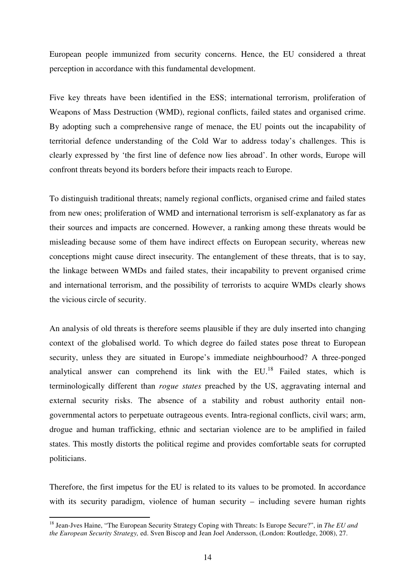European people immunized from security concerns. Hence, the EU considered a threat perception in accordance with this fundamental development.

Five key threats have been identified in the ESS; international terrorism, proliferation of Weapons of Mass Destruction (WMD), regional conflicts, failed states and organised crime. By adopting such a comprehensive range of menace, the EU points out the incapability of territorial defence understanding of the Cold War to address today's challenges. This is clearly expressed by 'the first line of defence now lies abroad'. In other words, Europe will confront threats beyond its borders before their impacts reach to Europe.

To distinguish traditional threats; namely regional conflicts, organised crime and failed states from new ones; proliferation of WMD and international terrorism is self-explanatory as far as their sources and impacts are concerned. However, a ranking among these threats would be misleading because some of them have indirect effects on European security, whereas new conceptions might cause direct insecurity. The entanglement of these threats, that is to say, the linkage between WMDs and failed states, their incapability to prevent organised crime and international terrorism, and the possibility of terrorists to acquire WMDs clearly shows the vicious circle of security.

An analysis of old threats is therefore seems plausible if they are duly inserted into changing context of the globalised world. To which degree do failed states pose threat to European security, unless they are situated in Europe's immediate neighbourhood? A three-ponged analytical answer can comprehend its link with the  $EU<sup>18</sup>$  Failed states, which is terminologically different than *rogue states* preached by the US, aggravating internal and external security risks. The absence of a stability and robust authority entail nongovernmental actors to perpetuate outrageous events. Intra-regional conflicts, civil wars; arm, drogue and human trafficking, ethnic and sectarian violence are to be amplified in failed states. This mostly distorts the political regime and provides comfortable seats for corrupted politicians.

Therefore, the first impetus for the EU is related to its values to be promoted. In accordance with its security paradigm, violence of human security – including severe human rights

<sup>18</sup> Jean-Jves Haine, "The European Security Strategy Coping with Threats: Is Europe Secure?", in *The EU and the European Security Strategy,* ed. Sven Biscop and Jean Joel Andersson, (London: Routledge, 2008), 27.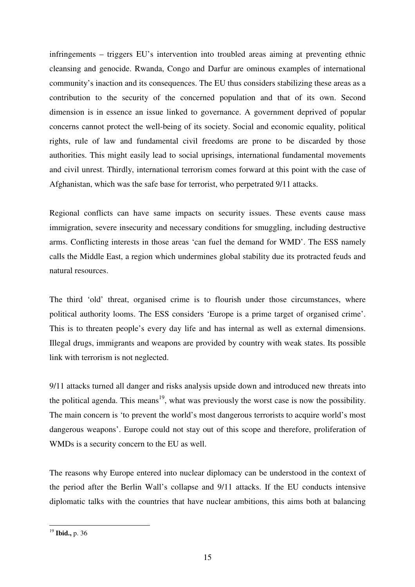infringements – triggers EU's intervention into troubled areas aiming at preventing ethnic cleansing and genocide. Rwanda, Congo and Darfur are ominous examples of international community's inaction and its consequences. The EU thus considers stabilizing these areas as a contribution to the security of the concerned population and that of its own. Second dimension is in essence an issue linked to governance. A government deprived of popular concerns cannot protect the well-being of its society. Social and economic equality, political rights, rule of law and fundamental civil freedoms are prone to be discarded by those authorities. This might easily lead to social uprisings, international fundamental movements and civil unrest. Thirdly, international terrorism comes forward at this point with the case of Afghanistan, which was the safe base for terrorist, who perpetrated 9/11 attacks.

Regional conflicts can have same impacts on security issues. These events cause mass immigration, severe insecurity and necessary conditions for smuggling, including destructive arms. Conflicting interests in those areas 'can fuel the demand for WMD'. The ESS namely calls the Middle East, a region which undermines global stability due its protracted feuds and natural resources.

The third 'old' threat, organised crime is to flourish under those circumstances, where political authority looms. The ESS considers 'Europe is a prime target of organised crime'. This is to threaten people's every day life and has internal as well as external dimensions. Illegal drugs, immigrants and weapons are provided by country with weak states. Its possible link with terrorism is not neglected.

9/11 attacks turned all danger and risks analysis upside down and introduced new threats into the political agenda. This means<sup>19</sup>, what was previously the worst case is now the possibility. The main concern is 'to prevent the world's most dangerous terrorists to acquire world's most dangerous weapons'. Europe could not stay out of this scope and therefore, proliferation of WMDs is a security concern to the EU as well.

The reasons why Europe entered into nuclear diplomacy can be understood in the context of the period after the Berlin Wall's collapse and 9/11 attacks. If the EU conducts intensive diplomatic talks with the countries that have nuclear ambitions, this aims both at balancing

<sup>19</sup> **Ibid.,** p. 36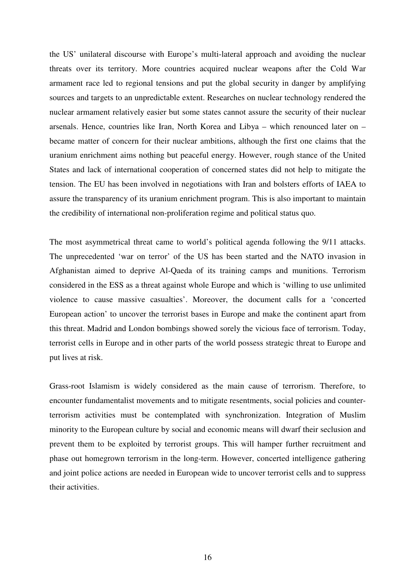the US' unilateral discourse with Europe's multi-lateral approach and avoiding the nuclear threats over its territory. More countries acquired nuclear weapons after the Cold War armament race led to regional tensions and put the global security in danger by amplifying sources and targets to an unpredictable extent. Researches on nuclear technology rendered the nuclear armament relatively easier but some states cannot assure the security of their nuclear arsenals. Hence, countries like Iran, North Korea and Libya – which renounced later on – became matter of concern for their nuclear ambitions, although the first one claims that the uranium enrichment aims nothing but peaceful energy. However, rough stance of the United States and lack of international cooperation of concerned states did not help to mitigate the tension. The EU has been involved in negotiations with Iran and bolsters efforts of IAEA to assure the transparency of its uranium enrichment program. This is also important to maintain the credibility of international non-proliferation regime and political status quo.

The most asymmetrical threat came to world's political agenda following the 9/11 attacks. The unprecedented 'war on terror' of the US has been started and the NATO invasion in Afghanistan aimed to deprive Al-Qaeda of its training camps and munitions. Terrorism considered in the ESS as a threat against whole Europe and which is 'willing to use unlimited violence to cause massive casualties'. Moreover, the document calls for a 'concerted European action' to uncover the terrorist bases in Europe and make the continent apart from this threat. Madrid and London bombings showed sorely the vicious face of terrorism. Today, terrorist cells in Europe and in other parts of the world possess strategic threat to Europe and put lives at risk.

Grass-root Islamism is widely considered as the main cause of terrorism. Therefore, to encounter fundamentalist movements and to mitigate resentments, social policies and counterterrorism activities must be contemplated with synchronization. Integration of Muslim minority to the European culture by social and economic means will dwarf their seclusion and prevent them to be exploited by terrorist groups. This will hamper further recruitment and phase out homegrown terrorism in the long-term. However, concerted intelligence gathering and joint police actions are needed in European wide to uncover terrorist cells and to suppress their activities.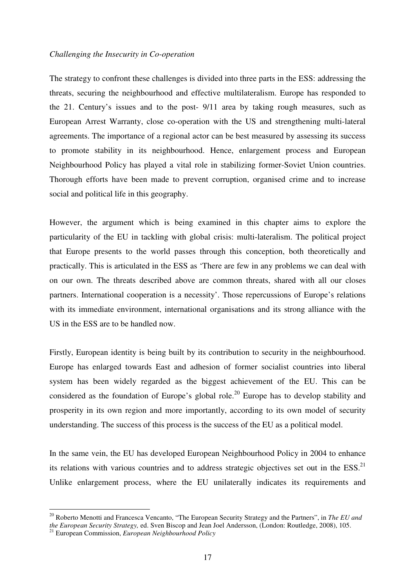#### *Challenging the Insecurity in Co-operation*

The strategy to confront these challenges is divided into three parts in the ESS: addressing the threats, securing the neighbourhood and effective multilateralism. Europe has responded to the 21. Century's issues and to the post- 9/11 area by taking rough measures, such as European Arrest Warranty, close co-operation with the US and strengthening multi-lateral agreements. The importance of a regional actor can be best measured by assessing its success to promote stability in its neighbourhood. Hence, enlargement process and European Neighbourhood Policy has played a vital role in stabilizing former-Soviet Union countries. Thorough efforts have been made to prevent corruption, organised crime and to increase social and political life in this geography.

However, the argument which is being examined in this chapter aims to explore the particularity of the EU in tackling with global crisis: multi-lateralism. The political project that Europe presents to the world passes through this conception, both theoretically and practically. This is articulated in the ESS as 'There are few in any problems we can deal with on our own. The threats described above are common threats, shared with all our closes partners. International cooperation is a necessity'. Those repercussions of Europe's relations with its immediate environment, international organisations and its strong alliance with the US in the ESS are to be handled now.

Firstly, European identity is being built by its contribution to security in the neighbourhood. Europe has enlarged towards East and adhesion of former socialist countries into liberal system has been widely regarded as the biggest achievement of the EU. This can be considered as the foundation of Europe's global role.<sup>20</sup> Europe has to develop stability and prosperity in its own region and more importantly, according to its own model of security understanding. The success of this process is the success of the EU as a political model.

In the same vein, the EU has developed European Neighbourhood Policy in 2004 to enhance its relations with various countries and to address strategic objectives set out in the  $ESS^{21}$ . Unlike enlargement process, where the EU unilaterally indicates its requirements and

<sup>20</sup> Roberto Menotti and Francesca Vencanto, "The European Security Strategy and the Partners", in *The EU and the European Security Strategy,* ed. Sven Biscop and Jean Joel Andersson, (London: Routledge, 2008), 105.

<sup>21</sup> European Commission, *European Neighbourhood Policy*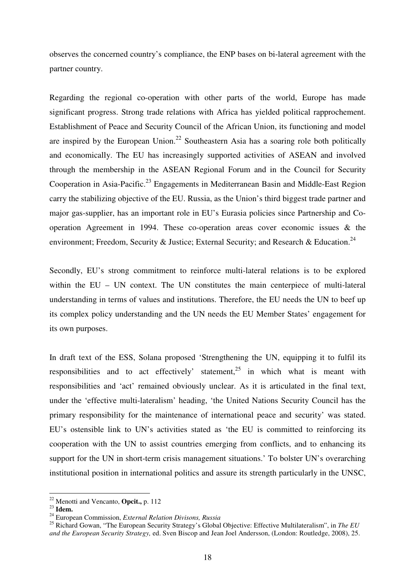observes the concerned country's compliance, the ENP bases on bi-lateral agreement with the partner country.

Regarding the regional co-operation with other parts of the world, Europe has made significant progress. Strong trade relations with Africa has yielded political rapprochement. Establishment of Peace and Security Council of the African Union, its functioning and model are inspired by the European Union.<sup>22</sup> Southeastern Asia has a soaring role both politically and economically. The EU has increasingly supported activities of ASEAN and involved through the membership in the ASEAN Regional Forum and in the Council for Security Cooperation in Asia-Pacific.<sup>23</sup> Engagements in Mediterranean Basin and Middle-East Region carry the stabilizing objective of the EU. Russia, as the Union's third biggest trade partner and major gas-supplier, has an important role in EU's Eurasia policies since Partnership and Cooperation Agreement in 1994. These co-operation areas cover economic issues & the environment; Freedom, Security & Justice; External Security; and Research & Education.<sup>24</sup>

Secondly, EU's strong commitment to reinforce multi-lateral relations is to be explored within the EU – UN context. The UN constitutes the main centerpiece of multi-lateral understanding in terms of values and institutions. Therefore, the EU needs the UN to beef up its complex policy understanding and the UN needs the EU Member States' engagement for its own purposes.

In draft text of the ESS, Solana proposed 'Strengthening the UN, equipping it to fulfil its responsibilities and to act effectively' statement,  $25$  in which what is meant with responsibilities and 'act' remained obviously unclear. As it is articulated in the final text, under the 'effective multi-lateralism' heading, 'the United Nations Security Council has the primary responsibility for the maintenance of international peace and security' was stated. EU's ostensible link to UN's activities stated as 'the EU is committed to reinforcing its cooperation with the UN to assist countries emerging from conflicts, and to enhancing its support for the UN in short-term crisis management situations.' To bolster UN's overarching institutional position in international politics and assure its strength particularly in the UNSC,

<sup>22</sup> Menotti and Vencanto, **Opcit.,** p. 112

<sup>23</sup> **Idem.** 

<sup>24</sup> European Commission, *External Relation Divisons, Russia*

<sup>25</sup> Richard Gowan, "The European Security Strategy's Global Objective: Effective Multilateralism", in *The EU and the European Security Strategy,* ed. Sven Biscop and Jean Joel Andersson, (London: Routledge, 2008), 25.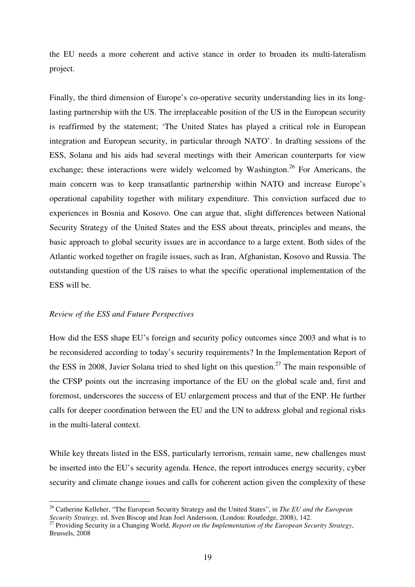the EU needs a more coherent and active stance in order to broaden its multi-lateralism project.

Finally, the third dimension of Europe's co-operative security understanding lies in its longlasting partnership with the US. The irreplaceable position of the US in the European security is reaffirmed by the statement; 'The United States has played a critical role in European integration and European security, in particular through NATO'. In drafting sessions of the ESS, Solana and his aids had several meetings with their American counterparts for view exchange; these interactions were widely welcomed by Washington.<sup>26</sup> For Americans, the main concern was to keep transatlantic partnership within NATO and increase Europe's operational capability together with military expenditure. This conviction surfaced due to experiences in Bosnia and Kosovo. One can argue that, slight differences between National Security Strategy of the United States and the ESS about threats, principles and means, the basic approach to global security issues are in accordance to a large extent. Both sides of the Atlantic worked together on fragile issues, such as Iran, Afghanistan, Kosovo and Russia. The outstanding question of the US raises to what the specific operational implementation of the ESS will be.

#### *Review of the ESS and Future Perspectives*

 $\overline{a}$ 

How did the ESS shape EU's foreign and security policy outcomes since 2003 and what is to be reconsidered according to today's security requirements? In the Implementation Report of the ESS in 2008, Javier Solana tried to shed light on this question.<sup>27</sup> The main responsible of the CFSP points out the increasing importance of the EU on the global scale and, first and foremost, underscores the success of EU enlargement process and that of the ENP. He further calls for deeper coordination between the EU and the UN to address global and regional risks in the multi-lateral context.

While key threats listed in the ESS, particularly terrorism, remain same, new challenges must be inserted into the EU's security agenda. Hence, the report introduces energy security, cyber security and climate change issues and calls for coherent action given the complexity of these

<sup>26</sup> Catherine Kelleher, "The European Security Strategy and the United States", in *The EU and the European Security Strategy,* ed. Sven Biscop and Jean Joel Andersson, (London: Routledge, 2008), 142.

<sup>27</sup> Providing Security in a Changing World, *Report on the Implementation of the European Security Strategy*, Brussels, 2008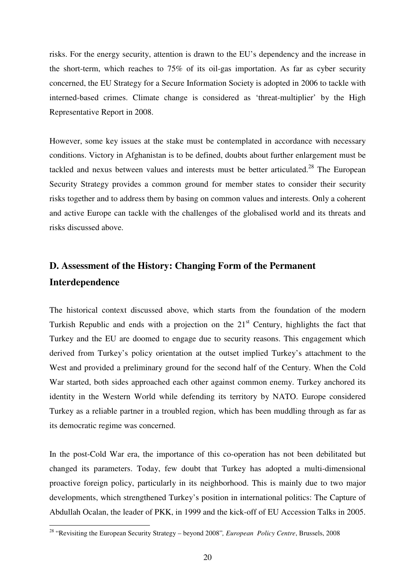risks. For the energy security, attention is drawn to the EU's dependency and the increase in the short-term, which reaches to 75% of its oil-gas importation. As far as cyber security concerned, the EU Strategy for a Secure Information Society is adopted in 2006 to tackle with interned-based crimes. Climate change is considered as 'threat-multiplier' by the High Representative Report in 2008.

However, some key issues at the stake must be contemplated in accordance with necessary conditions. Victory in Afghanistan is to be defined, doubts about further enlargement must be tackled and nexus between values and interests must be better articulated.<sup>28</sup> The European Security Strategy provides a common ground for member states to consider their security risks together and to address them by basing on common values and interests. Only a coherent and active Europe can tackle with the challenges of the globalised world and its threats and risks discussed above.

## **D. Assessment of the History: Changing Form of the Permanent Interdependence**

The historical context discussed above, which starts from the foundation of the modern Turkish Republic and ends with a projection on the  $21<sup>st</sup>$  Century, highlights the fact that Turkey and the EU are doomed to engage due to security reasons. This engagement which derived from Turkey's policy orientation at the outset implied Turkey's attachment to the West and provided a preliminary ground for the second half of the Century. When the Cold War started, both sides approached each other against common enemy. Turkey anchored its identity in the Western World while defending its territory by NATO. Europe considered Turkey as a reliable partner in a troubled region, which has been muddling through as far as its democratic regime was concerned.

In the post-Cold War era, the importance of this co-operation has not been debilitated but changed its parameters. Today, few doubt that Turkey has adopted a multi-dimensional proactive foreign policy, particularly in its neighborhood. This is mainly due to two major developments, which strengthened Turkey's position in international politics: The Capture of Abdullah Ocalan, the leader of PKK, in 1999 and the kick-off of EU Accession Talks in 2005.

<sup>28</sup> "Revisiting the European Security Strategy – beyond 2008"*, European Policy Centre*, Brussels, 2008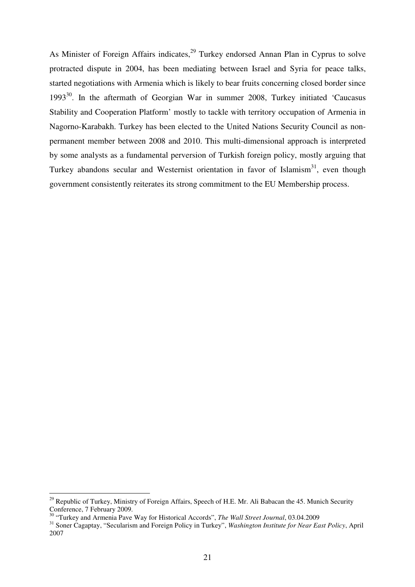As Minister of Foreign Affairs indicates,  $29$  Turkey endorsed Annan Plan in Cyprus to solve protracted dispute in 2004, has been mediating between Israel and Syria for peace talks, started negotiations with Armenia which is likely to bear fruits concerning closed border since  $1993^{30}$ . In the aftermath of Georgian War in summer 2008, Turkey initiated 'Caucasus Stability and Cooperation Platform' mostly to tackle with territory occupation of Armenia in Nagorno-Karabakh. Turkey has been elected to the United Nations Security Council as nonpermanent member between 2008 and 2010. This multi-dimensional approach is interpreted by some analysts as a fundamental perversion of Turkish foreign policy, mostly arguing that Turkey abandons secular and Westernist orientation in favor of Islamism $31$ , even though government consistently reiterates its strong commitment to the EU Membership process.

<sup>&</sup>lt;sup>29</sup> Republic of Turkey, Ministry of Foreign Affairs, Speech of H.E. Mr. Ali Babacan the 45. Munich Security Conference, 7 February 2009.

<sup>30</sup> "Turkey and Armenia Pave Way for Historical Accords", *The Wall Street Journal*, 03.04.2009

<sup>31</sup> Soner Cagaptay, "Secularism and Foreign Policy in Turkey", *Washington Institute for Near East Policy*, April 2007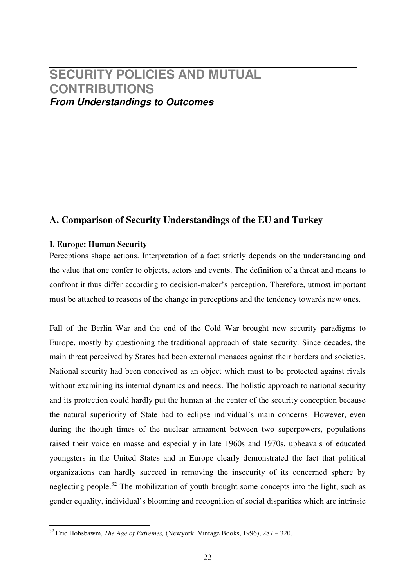## **SECURITY POLICIES AND MUTUAL CONTRIBUTIONS From Understandings to Outcomes**

## **A. Comparison of Security Understandings of the EU and Turkey**

### **I. Europe: Human Security**

Perceptions shape actions. Interpretation of a fact strictly depends on the understanding and the value that one confer to objects, actors and events. The definition of a threat and means to confront it thus differ according to decision-maker's perception. Therefore, utmost important must be attached to reasons of the change in perceptions and the tendency towards new ones.

Fall of the Berlin War and the end of the Cold War brought new security paradigms to Europe, mostly by questioning the traditional approach of state security. Since decades, the main threat perceived by States had been external menaces against their borders and societies. National security had been conceived as an object which must to be protected against rivals without examining its internal dynamics and needs. The holistic approach to national security and its protection could hardly put the human at the center of the security conception because the natural superiority of State had to eclipse individual's main concerns. However, even during the though times of the nuclear armament between two superpowers, populations raised their voice en masse and especially in late 1960s and 1970s, upheavals of educated youngsters in the United States and in Europe clearly demonstrated the fact that political organizations can hardly succeed in removing the insecurity of its concerned sphere by neglecting people.<sup>32</sup> The mobilization of youth brought some concepts into the light, such as gender equality, individual's blooming and recognition of social disparities which are intrinsic

<sup>32</sup> Eric Hobsbawm, *The Age of Extremes,* (Newyork: Vintage Books, 1996), 287 – 320.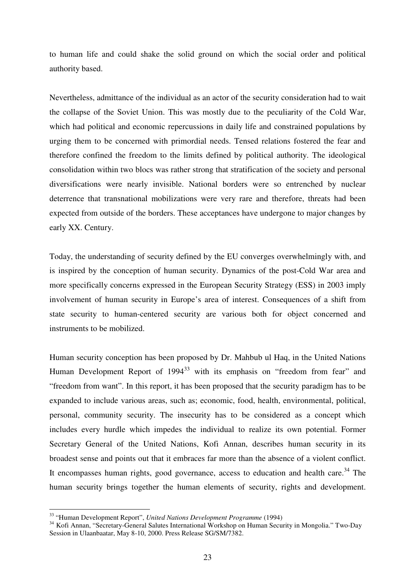to human life and could shake the solid ground on which the social order and political authority based.

Nevertheless, admittance of the individual as an actor of the security consideration had to wait the collapse of the Soviet Union. This was mostly due to the peculiarity of the Cold War, which had political and economic repercussions in daily life and constrained populations by urging them to be concerned with primordial needs. Tensed relations fostered the fear and therefore confined the freedom to the limits defined by political authority. The ideological consolidation within two blocs was rather strong that stratification of the society and personal diversifications were nearly invisible. National borders were so entrenched by nuclear deterrence that transnational mobilizations were very rare and therefore, threats had been expected from outside of the borders. These acceptances have undergone to major changes by early XX. Century.

Today, the understanding of security defined by the EU converges overwhelmingly with, and is inspired by the conception of human security. Dynamics of the post-Cold War area and more specifically concerns expressed in the European Security Strategy (ESS) in 2003 imply involvement of human security in Europe's area of interest. Consequences of a shift from state security to human-centered security are various both for object concerned and instruments to be mobilized.

Human security conception has been proposed by Dr. Mahbub ul Haq, in the United Nations Human Development Report of  $1994^{33}$  with its emphasis on "freedom from fear" and "freedom from want". In this report, it has been proposed that the security paradigm has to be expanded to include various areas, such as; economic, food, health, environmental, political, personal, community security. The insecurity has to be considered as a concept which includes every hurdle which impedes the individual to realize its own potential. Former Secretary General of the United Nations, Kofi Annan, describes human security in its broadest sense and points out that it embraces far more than the absence of a violent conflict. It encompasses human rights, good governance, access to education and health care.<sup>34</sup> The human security brings together the human elements of security, rights and development.

<sup>33</sup> "Human Development Report", *United Nations Development Programme* (1994)

<sup>34</sup> Kofi Annan, "Secretary-General Salutes International Workshop on Human Security in Mongolia." Two-Day Session in Ulaanbaatar, May 8-10, 2000. Press Release SG/SM/7382.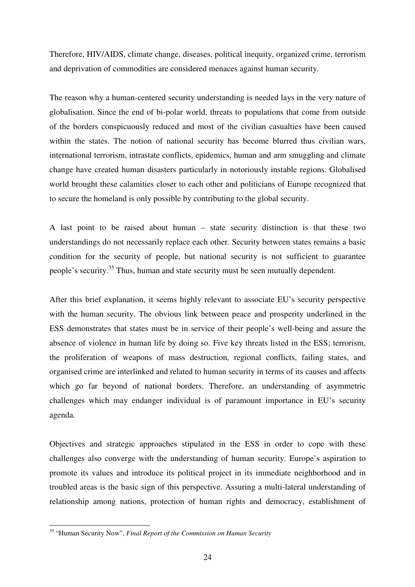Therefore, HIV/AIDS, climate change, diseases, political inequity, organized crime, terrorism and deprivation of commodities are considered menaces against human security.

The reason why a human-centered security understanding is needed lays in the very nature of globalisation. Since the end of bi-polar world, threats to populations that come from outside of the borders conspicuously reduced and most of the civilian casualties have been caused within the states. The notion of national security has become blurred thus civilian wars, international terrorism, intrastate conflicts, epidemics, human and arm smuggling and climate change have created human disasters particularly in notoriously instable regions. Globalised world brought these calamities closer to each other and politicians of Europe recognized that to secure the homeland is only possible by contributing to the global security.

A last point to be raised about human – state security distinction is that these two understandings do not necessarily replace each other. Security between states remains a basic condition for the security of people, but national security is not sufficient to guarantee people's security.<sup>35</sup> Thus, human and state security must be seen mutually dependent.

After this brief explanation, it seems highly relevant to associate EU's security perspective with the human security. The obvious link between peace and prosperity underlined in the ESS demonstrates that states must be in service of their people's well-being and assure the absence of violence in human life by doing so. Five key threats listed in the ESS; terrorism, the proliferation of weapons of mass destruction, regional conflicts, failing states, and organised crime are interlinked and related to human security in terms of its causes and affects which go far beyond of national borders. Therefore, an understanding of asymmetric challenges which may endanger individual is of paramount importance in EU's security agenda.

Objectives and strategic approaches stipulated in the ESS in order to cope with these challenges also converge with the understanding of human security. Europe's aspiration to promote its values and introduce its political project in its immediate neighborhood and in troubled areas is the basic sign of this perspective. Assuring a multi-lateral understanding of relationship among nations, protection of human rights and democracy, establishment of

<sup>35</sup> "Human Security Now", *Final Report of the Commission on Human Security*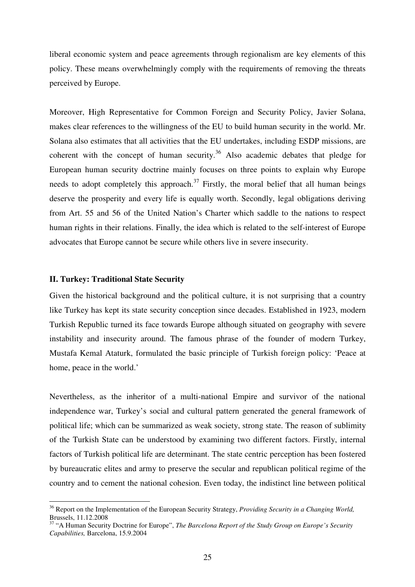liberal economic system and peace agreements through regionalism are key elements of this policy. These means overwhelmingly comply with the requirements of removing the threats perceived by Europe.

Moreover, High Representative for Common Foreign and Security Policy, Javier Solana, makes clear references to the willingness of the EU to build human security in the world. Mr. Solana also estimates that all activities that the EU undertakes, including ESDP missions, are coherent with the concept of human security.<sup>36</sup> Also academic debates that pledge for European human security doctrine mainly focuses on three points to explain why Europe needs to adopt completely this approach.<sup>37</sup> Firstly, the moral belief that all human beings deserve the prosperity and every life is equally worth. Secondly, legal obligations deriving from Art. 55 and 56 of the United Nation's Charter which saddle to the nations to respect human rights in their relations. Finally, the idea which is related to the self-interest of Europe advocates that Europe cannot be secure while others live in severe insecurity.

#### **II. Turkey: Traditional State Security**

 $\overline{a}$ 

Given the historical background and the political culture, it is not surprising that a country like Turkey has kept its state security conception since decades. Established in 1923, modern Turkish Republic turned its face towards Europe although situated on geography with severe instability and insecurity around. The famous phrase of the founder of modern Turkey, Mustafa Kemal Ataturk, formulated the basic principle of Turkish foreign policy: 'Peace at home, peace in the world.'

Nevertheless, as the inheritor of a multi-national Empire and survivor of the national independence war, Turkey's social and cultural pattern generated the general framework of political life; which can be summarized as weak society, strong state. The reason of sublimity of the Turkish State can be understood by examining two different factors. Firstly, internal factors of Turkish political life are determinant. The state centric perception has been fostered by bureaucratic elites and army to preserve the secular and republican political regime of the country and to cement the national cohesion. Even today, the indistinct line between political

<sup>36</sup> Report on the Implementation of the European Security Strategy, *Providing Security in a Changing World,* Brussels, 11.12.2008

<sup>37</sup> "A Human Security Doctrine for Europe", *The Barcelona Report of the Study Group on Europe's Security Capabilities,* Barcelona, 15.9.2004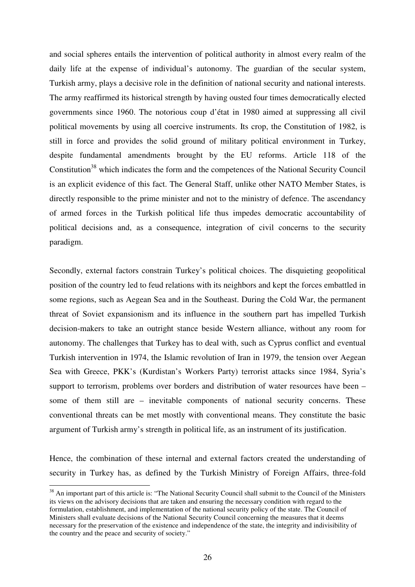and social spheres entails the intervention of political authority in almost every realm of the daily life at the expense of individual's autonomy. The guardian of the secular system, Turkish army, plays a decisive role in the definition of national security and national interests. The army reaffirmed its historical strength by having ousted four times democratically elected governments since 1960. The notorious coup d'état in 1980 aimed at suppressing all civil political movements by using all coercive instruments. Its crop, the Constitution of 1982, is still in force and provides the solid ground of military political environment in Turkey, despite fundamental amendments brought by the EU reforms. Article 118 of the Constitution<sup>38</sup> which indicates the form and the competences of the National Security Council is an explicit evidence of this fact. The General Staff, unlike other NATO Member States, is directly responsible to the prime minister and not to the ministry of defence. The ascendancy of armed forces in the Turkish political life thus impedes democratic accountability of political decisions and, as a consequence, integration of civil concerns to the security paradigm.

Secondly, external factors constrain Turkey's political choices. The disquieting geopolitical position of the country led to feud relations with its neighbors and kept the forces embattled in some regions, such as Aegean Sea and in the Southeast. During the Cold War, the permanent threat of Soviet expansionism and its influence in the southern part has impelled Turkish decision-makers to take an outright stance beside Western alliance, without any room for autonomy. The challenges that Turkey has to deal with, such as Cyprus conflict and eventual Turkish intervention in 1974, the Islamic revolution of Iran in 1979, the tension over Aegean Sea with Greece, PKK's (Kurdistan's Workers Party) terrorist attacks since 1984, Syria's support to terrorism, problems over borders and distribution of water resources have been – some of them still are – inevitable components of national security concerns. These conventional threats can be met mostly with conventional means. They constitute the basic argument of Turkish army's strength in political life, as an instrument of its justification.

Hence, the combination of these internal and external factors created the understanding of security in Turkey has, as defined by the Turkish Ministry of Foreign Affairs, three-fold

<sup>&</sup>lt;sup>38</sup> An important part of this article is: "The National Security Council shall submit to the Council of the Ministers its views on the advisory decisions that are taken and ensuring the necessary condition with regard to the formulation, establishment, and implementation of the national security policy of the state. The Council of Ministers shall evaluate decisions of the National Security Council concerning the measures that it deems necessary for the preservation of the existence and independence of the state, the integrity and indivisibility of the country and the peace and security of society."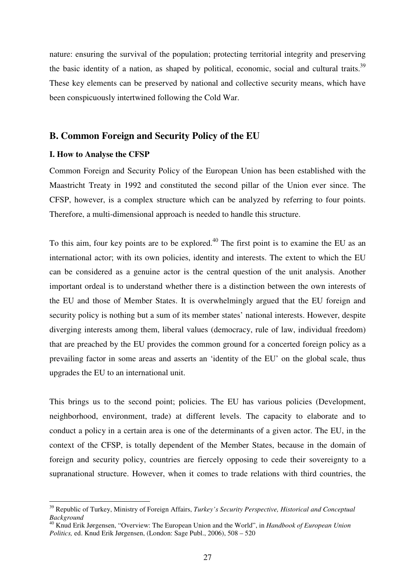nature: ensuring the survival of the population; protecting territorial integrity and preserving the basic identity of a nation, as shaped by political, economic, social and cultural traits.<sup>39</sup> These key elements can be preserved by national and collective security means, which have been conspicuously intertwined following the Cold War.

## **B. Common Foreign and Security Policy of the EU**

#### **I. How to Analyse the CFSP**

 $\overline{a}$ 

Common Foreign and Security Policy of the European Union has been established with the Maastricht Treaty in 1992 and constituted the second pillar of the Union ever since. The CFSP, however, is a complex structure which can be analyzed by referring to four points. Therefore, a multi-dimensional approach is needed to handle this structure.

To this aim, four key points are to be explored.<sup>40</sup> The first point is to examine the EU as an international actor; with its own policies, identity and interests. The extent to which the EU can be considered as a genuine actor is the central question of the unit analysis. Another important ordeal is to understand whether there is a distinction between the own interests of the EU and those of Member States. It is overwhelmingly argued that the EU foreign and security policy is nothing but a sum of its member states' national interests. However, despite diverging interests among them, liberal values (democracy, rule of law, individual freedom) that are preached by the EU provides the common ground for a concerted foreign policy as a prevailing factor in some areas and asserts an 'identity of the EU' on the global scale, thus upgrades the EU to an international unit.

This brings us to the second point; policies. The EU has various policies (Development, neighborhood, environment, trade) at different levels. The capacity to elaborate and to conduct a policy in a certain area is one of the determinants of a given actor. The EU, in the context of the CFSP, is totally dependent of the Member States, because in the domain of foreign and security policy, countries are fiercely opposing to cede their sovereignty to a supranational structure. However, when it comes to trade relations with third countries, the

<sup>39</sup> Republic of Turkey, Ministry of Foreign Affairs, *Turkey's Security Perspective, Historical and Conceptual Background*

<sup>40</sup> Knud Erik Jørgensen, "Overview: The European Union and the World", in *Handbook of European Union Politics,* ed. Knud Erik Jørgensen, (London: Sage Publ., 2006), 508 – 520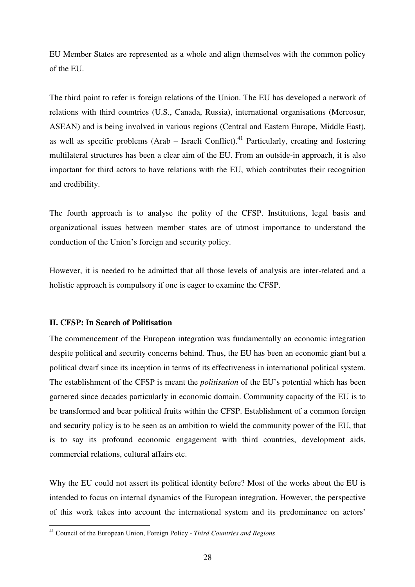EU Member States are represented as a whole and align themselves with the common policy of the EU.

The third point to refer is foreign relations of the Union. The EU has developed a network of relations with third countries (U.S., Canada, Russia), international organisations (Mercosur, ASEAN) and is being involved in various regions (Central and Eastern Europe, Middle East), as well as specific problems (Arab – Israeli Conflict).<sup>41</sup> Particularly, creating and fostering multilateral structures has been a clear aim of the EU. From an outside-in approach, it is also important for third actors to have relations with the EU, which contributes their recognition and credibility.

The fourth approach is to analyse the polity of the CFSP. Institutions, legal basis and organizational issues between member states are of utmost importance to understand the conduction of the Union's foreign and security policy.

However, it is needed to be admitted that all those levels of analysis are inter-related and a holistic approach is compulsory if one is eager to examine the CFSP.

## **II. CFSP: In Search of Politisation**

The commencement of the European integration was fundamentally an economic integration despite political and security concerns behind. Thus, the EU has been an economic giant but a political dwarf since its inception in terms of its effectiveness in international political system. The establishment of the CFSP is meant the *politisation* of the EU's potential which has been garnered since decades particularly in economic domain. Community capacity of the EU is to be transformed and bear political fruits within the CFSP. Establishment of a common foreign and security policy is to be seen as an ambition to wield the community power of the EU, that is to say its profound economic engagement with third countries, development aids, commercial relations, cultural affairs etc.

Why the EU could not assert its political identity before? Most of the works about the EU is intended to focus on internal dynamics of the European integration. However, the perspective of this work takes into account the international system and its predominance on actors'

<sup>41</sup> Council of the European Union, Foreign Policy - *Third Countries and Regions*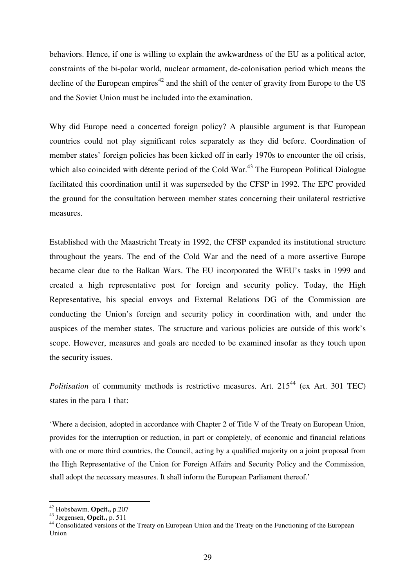behaviors. Hence, if one is willing to explain the awkwardness of the EU as a political actor, constraints of the bi-polar world, nuclear armament, de-colonisation period which means the decline of the European empires<sup> $42$ </sup> and the shift of the center of gravity from Europe to the US and the Soviet Union must be included into the examination.

Why did Europe need a concerted foreign policy? A plausible argument is that European countries could not play significant roles separately as they did before. Coordination of member states' foreign policies has been kicked off in early 1970s to encounter the oil crisis, which also coincided with détente period of the Cold War.<sup>43</sup> The European Political Dialogue facilitated this coordination until it was superseded by the CFSP in 1992. The EPC provided the ground for the consultation between member states concerning their unilateral restrictive measures.

Established with the Maastricht Treaty in 1992, the CFSP expanded its institutional structure throughout the years. The end of the Cold War and the need of a more assertive Europe became clear due to the Balkan Wars. The EU incorporated the WEU's tasks in 1999 and created a high representative post for foreign and security policy. Today, the High Representative, his special envoys and External Relations DG of the Commission are conducting the Union's foreign and security policy in coordination with, and under the auspices of the member states. The structure and various policies are outside of this work's scope. However, measures and goals are needed to be examined insofar as they touch upon the security issues.

*Politisation* of community methods is restrictive measures. Art. 215<sup>44</sup> (ex Art. 301 TEC) states in the para 1 that:

'Where a decision, adopted in accordance with Chapter 2 of Title V of the Treaty on European Union, provides for the interruption or reduction, in part or completely, of economic and financial relations with one or more third countries, the Council, acting by a qualified majority on a joint proposal from the High Representative of the Union for Foreign Affairs and Security Policy and the Commission, shall adopt the necessary measures. It shall inform the European Parliament thereof.'

<sup>42</sup> Hobsbawm, **Opcit.,** p.207

<sup>43</sup> Jørgensen, **Opcit.,** p. 511

<sup>44</sup> Consolidated versions of the Treaty on European Union and the Treaty on the Functioning of the European Union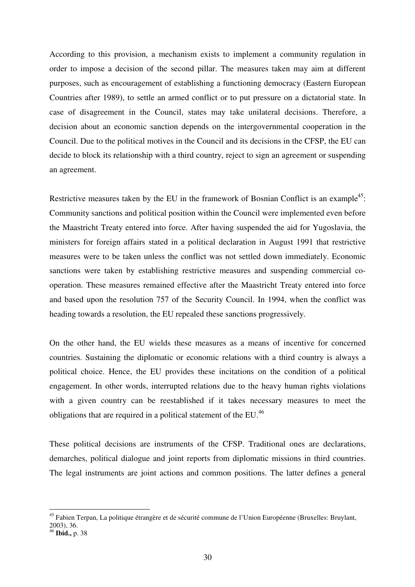According to this provision, a mechanism exists to implement a community regulation in order to impose a decision of the second pillar. The measures taken may aim at different purposes, such as encouragement of establishing a functioning democracy (Eastern European Countries after 1989), to settle an armed conflict or to put pressure on a dictatorial state. In case of disagreement in the Council, states may take unilateral decisions. Therefore, a decision about an economic sanction depends on the intergovernmental cooperation in the Council. Due to the political motives in the Council and its decisions in the CFSP, the EU can decide to block its relationship with a third country, reject to sign an agreement or suspending an agreement.

Restrictive measures taken by the EU in the framework of Bosnian Conflict is an example<sup>45</sup>: Community sanctions and political position within the Council were implemented even before the Maastricht Treaty entered into force. After having suspended the aid for Yugoslavia, the ministers for foreign affairs stated in a political declaration in August 1991 that restrictive measures were to be taken unless the conflict was not settled down immediately. Economic sanctions were taken by establishing restrictive measures and suspending commercial cooperation. These measures remained effective after the Maastricht Treaty entered into force and based upon the resolution 757 of the Security Council. In 1994, when the conflict was heading towards a resolution, the EU repealed these sanctions progressively.

On the other hand, the EU wields these measures as a means of incentive for concerned countries. Sustaining the diplomatic or economic relations with a third country is always a political choice. Hence, the EU provides these incitations on the condition of a political engagement. In other words, interrupted relations due to the heavy human rights violations with a given country can be reestablished if it takes necessary measures to meet the obligations that are required in a political statement of the EU.<sup>46</sup>

These political decisions are instruments of the CFSP. Traditional ones are declarations, demarches, political dialogue and joint reports from diplomatic missions in third countries. The legal instruments are joint actions and common positions. The latter defines a general

<sup>&</sup>lt;sup>45</sup> Fabien Terpan, La politique étrangère et de sécurité commune de l'Union Européenne (Bruxelles: Bruylant, 2003), 36.

<sup>46</sup> **Ibid.,** p. 38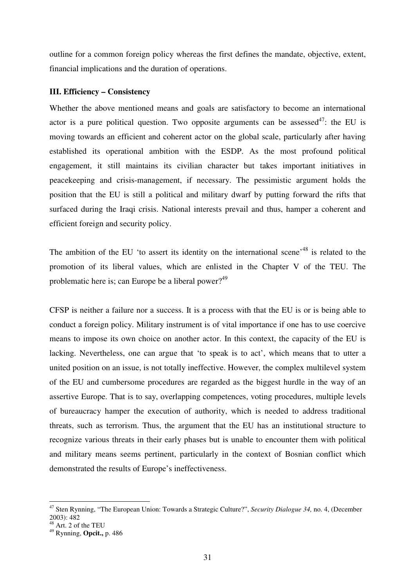outline for a common foreign policy whereas the first defines the mandate, objective, extent, financial implications and the duration of operations.

#### **III. Efficiency – Consistency**

Whether the above mentioned means and goals are satisfactory to become an international actor is a pure political question. Two opposite arguments can be assessed<sup>47</sup>: the EU is moving towards an efficient and coherent actor on the global scale, particularly after having established its operational ambition with the ESDP. As the most profound political engagement, it still maintains its civilian character but takes important initiatives in peacekeeping and crisis-management, if necessary. The pessimistic argument holds the position that the EU is still a political and military dwarf by putting forward the rifts that surfaced during the Iraqi crisis. National interests prevail and thus, hamper a coherent and efficient foreign and security policy.

The ambition of the EU 'to assert its identity on the international scene'<sup>48</sup> is related to the promotion of its liberal values, which are enlisted in the Chapter V of the TEU. The problematic here is; can Europe be a liberal power?<sup>49</sup>

CFSP is neither a failure nor a success. It is a process with that the EU is or is being able to conduct a foreign policy. Military instrument is of vital importance if one has to use coercive means to impose its own choice on another actor. In this context, the capacity of the EU is lacking. Nevertheless, one can argue that 'to speak is to act', which means that to utter a united position on an issue, is not totally ineffective. However, the complex multilevel system of the EU and cumbersome procedures are regarded as the biggest hurdle in the way of an assertive Europe. That is to say, overlapping competences, voting procedures, multiple levels of bureaucracy hamper the execution of authority, which is needed to address traditional threats, such as terrorism. Thus, the argument that the EU has an institutional structure to recognize various threats in their early phases but is unable to encounter them with political and military means seems pertinent, particularly in the context of Bosnian conflict which demonstrated the results of Europe's ineffectiveness.

<sup>47</sup> Sten Rynning, "The European Union: Towards a Strategic Culture?", *Security Dialogue 34,* no. 4, (December  $(2003)$ : 482

 $8$  Art. 2 of the TEU

<sup>49</sup> Rynning, **Opcit.,** p. 486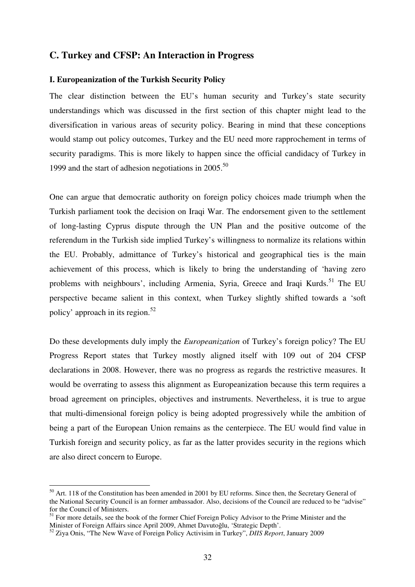## **C. Turkey and CFSP: An Interaction in Progress**

#### **I. Europeanization of the Turkish Security Policy**

The clear distinction between the EU's human security and Turkey's state security understandings which was discussed in the first section of this chapter might lead to the diversification in various areas of security policy. Bearing in mind that these conceptions would stamp out policy outcomes, Turkey and the EU need more rapprochement in terms of security paradigms. This is more likely to happen since the official candidacy of Turkey in 1999 and the start of adhesion negotiations in 2005. 50

One can argue that democratic authority on foreign policy choices made triumph when the Turkish parliament took the decision on Iraqi War. The endorsement given to the settlement of long-lasting Cyprus dispute through the UN Plan and the positive outcome of the referendum in the Turkish side implied Turkey's willingness to normalize its relations within the EU. Probably, admittance of Turkey's historical and geographical ties is the main achievement of this process, which is likely to bring the understanding of 'having zero problems with neighbours', including Armenia, Syria, Greece and Iraqi Kurds.<sup>51</sup> The EU perspective became salient in this context, when Turkey slightly shifted towards a 'soft policy' approach in its region.<sup>52</sup>

Do these developments duly imply the *Europeanization* of Turkey's foreign policy? The EU Progress Report states that Turkey mostly aligned itself with 109 out of 204 CFSP declarations in 2008. However, there was no progress as regards the restrictive measures. It would be overrating to assess this alignment as Europeanization because this term requires a broad agreement on principles, objectives and instruments. Nevertheless, it is true to argue that multi-dimensional foreign policy is being adopted progressively while the ambition of being a part of the European Union remains as the centerpiece. The EU would find value in Turkish foreign and security policy, as far as the latter provides security in the regions which are also direct concern to Europe.

<sup>&</sup>lt;sup>50</sup> Art. 118 of the Constitution has been amended in 2001 by EU reforms. Since then, the Secretary General of the National Security Council is an former ambassador. Also, decisions of the Council are reduced to be "advise" for the Council of Ministers.

 $<sup>51</sup>$  For more details, see the book of the former Chief Foreign Policy Advisor to the Prime Minister and the</sup> Minister of Foreign Affairs since April 2009, Ahmet Davutoğlu, 'Strategic Depth'.

<sup>52</sup> Ziya Onis, "The New Wave of Foreign Policy Activisim in Turkey", *DIIS Report*, January 2009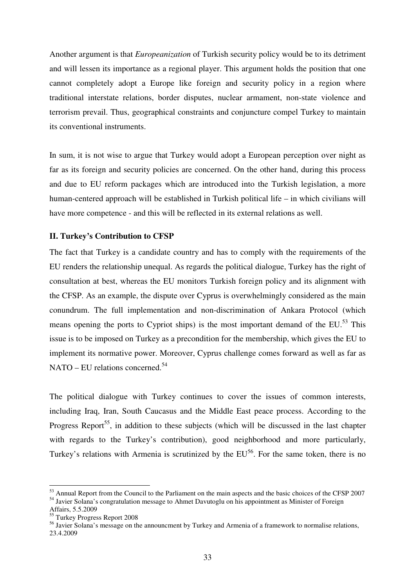Another argument is that *Europeanization* of Turkish security policy would be to its detriment and will lessen its importance as a regional player. This argument holds the position that one cannot completely adopt a Europe like foreign and security policy in a region where traditional interstate relations, border disputes, nuclear armament, non-state violence and terrorism prevail. Thus, geographical constraints and conjuncture compel Turkey to maintain its conventional instruments.

In sum, it is not wise to argue that Turkey would adopt a European perception over night as far as its foreign and security policies are concerned. On the other hand, during this process and due to EU reform packages which are introduced into the Turkish legislation, a more human-centered approach will be established in Turkish political life – in which civilians will have more competence - and this will be reflected in its external relations as well.

## **II. Turkey's Contribution to CFSP**

The fact that Turkey is a candidate country and has to comply with the requirements of the EU renders the relationship unequal. As regards the political dialogue, Turkey has the right of consultation at best, whereas the EU monitors Turkish foreign policy and its alignment with the CFSP. As an example, the dispute over Cyprus is overwhelmingly considered as the main conundrum. The full implementation and non-discrimination of Ankara Protocol (which means opening the ports to Cypriot ships) is the most important demand of the  $EU$ <sup>53</sup>. This issue is to be imposed on Turkey as a precondition for the membership, which gives the EU to implement its normative power. Moreover, Cyprus challenge comes forward as well as far as  $NATO - EU$  relations concerned.<sup>54</sup>

The political dialogue with Turkey continues to cover the issues of common interests, including Iraq, Iran, South Caucasus and the Middle East peace process. According to the Progress Report<sup>55</sup>, in addition to these subjects (which will be discussed in the last chapter with regards to the Turkey's contribution), good neighborhood and more particularly, Turkey's relations with Armenia is scrutinized by the  $EU^{56}$ . For the same token, there is no

<sup>&</sup>lt;sup>53</sup> Annual Report from the Council to the Parliament on the main aspects and the basic choices of the CFSP 2007 <sup>54</sup> Javier Solana's congratulation message to Ahmet Davutoglu on his appointment as Minister of Foreign

Affairs, 5.5.2009

<sup>55</sup> Turkey Progress Report 2008

<sup>&</sup>lt;sup>56</sup> Javier Solana's message on the announcment by Turkey and Armenia of a framework to normalise relations, 23.4.2009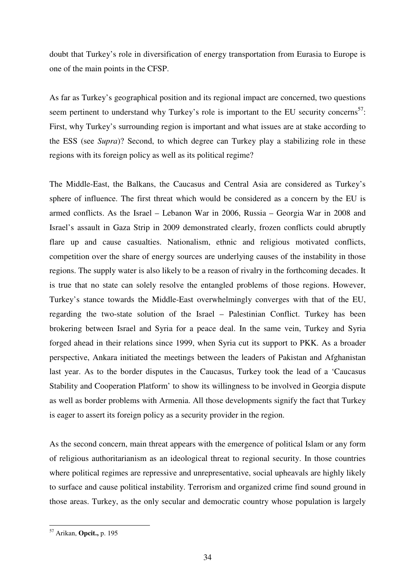doubt that Turkey's role in diversification of energy transportation from Eurasia to Europe is one of the main points in the CFSP.

As far as Turkey's geographical position and its regional impact are concerned, two questions seem pertinent to understand why Turkey's role is important to the EU security concerns<sup>57</sup>: First, why Turkey's surrounding region is important and what issues are at stake according to the ESS (see *Supra*)? Second, to which degree can Turkey play a stabilizing role in these regions with its foreign policy as well as its political regime?

The Middle-East, the Balkans, the Caucasus and Central Asia are considered as Turkey's sphere of influence. The first threat which would be considered as a concern by the EU is armed conflicts. As the Israel – Lebanon War in 2006, Russia – Georgia War in 2008 and Israel's assault in Gaza Strip in 2009 demonstrated clearly, frozen conflicts could abruptly flare up and cause casualties. Nationalism, ethnic and religious motivated conflicts, competition over the share of energy sources are underlying causes of the instability in those regions. The supply water is also likely to be a reason of rivalry in the forthcoming decades. It is true that no state can solely resolve the entangled problems of those regions. However, Turkey's stance towards the Middle-East overwhelmingly converges with that of the EU, regarding the two-state solution of the Israel – Palestinian Conflict. Turkey has been brokering between Israel and Syria for a peace deal. In the same vein, Turkey and Syria forged ahead in their relations since 1999, when Syria cut its support to PKK. As a broader perspective, Ankara initiated the meetings between the leaders of Pakistan and Afghanistan last year. As to the border disputes in the Caucasus, Turkey took the lead of a 'Caucasus Stability and Cooperation Platform' to show its willingness to be involved in Georgia dispute as well as border problems with Armenia. All those developments signify the fact that Turkey is eager to assert its foreign policy as a security provider in the region.

As the second concern, main threat appears with the emergence of political Islam or any form of religious authoritarianism as an ideological threat to regional security. In those countries where political regimes are repressive and unrepresentative, social upheavals are highly likely to surface and cause political instability. Terrorism and organized crime find sound ground in those areas. Turkey, as the only secular and democratic country whose population is largely

<sup>57</sup> Arikan, **Opcit.,** p. 195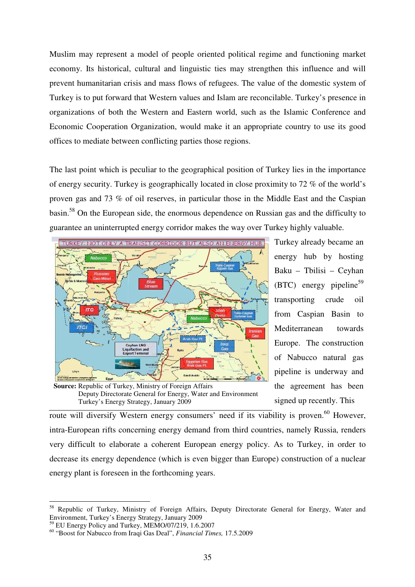Muslim may represent a model of people oriented political regime and functioning market economy. Its historical, cultural and linguistic ties may strengthen this influence and will prevent humanitarian crisis and mass flows of refugees. The value of the domestic system of Turkey is to put forward that Western values and Islam are reconcilable. Turkey's presence in organizations of both the Western and Eastern world, such as the Islamic Conference and Economic Cooperation Organization, would make it an appropriate country to use its good offices to mediate between conflicting parties those regions.

The last point which is peculiar to the geographical position of Turkey lies in the importance of energy security. Turkey is geographically located in close proximity to 72 % of the world's proven gas and 73 % of oil reserves, in particular those in the Middle East and the Caspian basin.<sup>58</sup> On the European side, the enormous dependence on Russian gas and the difficulty to guarantee an uninterrupted energy corridor makes the way over Turkey highly valuable.



**Source:** Republic of Turkey, Ministry of Foreign Affairs Deputy Directorate General for Energy, Water and Environment Turkey's Energy Strategy, January 2009

Turkey already became an energy hub by hosting Baku – Tbilisi – Ceyhan  $(BTC)$  energy pipeline<sup>59</sup> transporting crude oil from Caspian Basin to Mediterranean towards Europe. The construction of Nabucco natural gas pipeline is underway and the agreement has been signed up recently. This

route will diversify Western energy consumers' need if its viability is proven.<sup>60</sup> However, intra-European rifts concerning energy demand from third countries, namely Russia, renders very difficult to elaborate a coherent European energy policy. As to Turkey, in order to decrease its energy dependence (which is even bigger than Europe) construction of a nuclear energy plant is foreseen in the forthcoming years.

<sup>59</sup> EU Energy Policy and Turkey, MEMO/07/219, 1.6.2007

<sup>&</sup>lt;sup>58</sup> Republic of Turkey, Ministry of Foreign Affairs, Deputy Directorate General for Energy, Water and Environment, Turkey's Energy Strategy, January 2009

<sup>60</sup> "Boost for Nabucco from Iraqi Gas Deal", *Financial Times,* 17.5.2009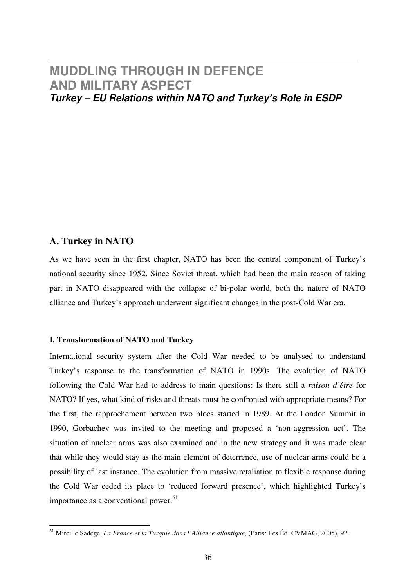## **MUDDLING THROUGH IN DEFENCE AND MILITARY ASPECT Turkey – EU Relations within NATO and Turkey's Role in ESDP**

## **A. Turkey in NATO**

As we have seen in the first chapter, NATO has been the central component of Turkey's national security since 1952. Since Soviet threat, which had been the main reason of taking part in NATO disappeared with the collapse of bi-polar world, both the nature of NATO alliance and Turkey's approach underwent significant changes in the post-Cold War era.

## **I. Transformation of NATO and Turkey**

International security system after the Cold War needed to be analysed to understand Turkey's response to the transformation of NATO in 1990s. The evolution of NATO following the Cold War had to address to main questions: Is there still a *raison d'être* for NATO? If yes, what kind of risks and threats must be confronted with appropriate means? For the first, the rapprochement between two blocs started in 1989. At the London Summit in 1990, Gorbachev was invited to the meeting and proposed a 'non-aggression act'. The situation of nuclear arms was also examined and in the new strategy and it was made clear that while they would stay as the main element of deterrence, use of nuclear arms could be a possibility of last instance. The evolution from massive retaliation to flexible response during the Cold War ceded its place to 'reduced forward presence', which highlighted Turkey's importance as a conventional power. $61$ 

<sup>61</sup> Mireille Sadège, *La France et la Turquie dans l'Alliance atlantique,* (Paris: Les Éd. CVMAG, 2005), 92.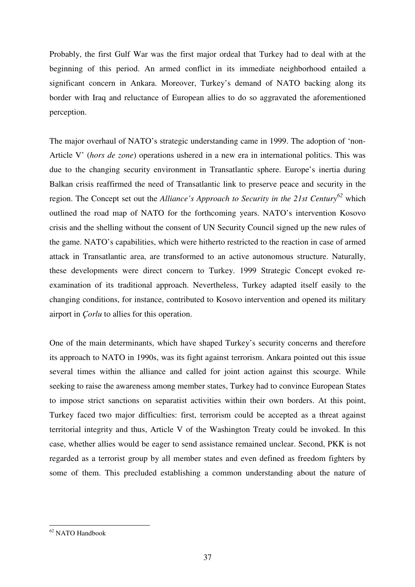Probably, the first Gulf War was the first major ordeal that Turkey had to deal with at the beginning of this period. An armed conflict in its immediate neighborhood entailed a significant concern in Ankara. Moreover, Turkey's demand of NATO backing along its border with Iraq and reluctance of European allies to do so aggravated the aforementioned perception.

The major overhaul of NATO's strategic understanding came in 1999. The adoption of 'non-Article V' (*hors de zone*) operations ushered in a new era in international politics. This was due to the changing security environment in Transatlantic sphere. Europe's inertia during Balkan crisis reaffirmed the need of Transatlantic link to preserve peace and security in the region. The Concept set out the *Alliance's Approach to Security in the 21st Century<sup>62</sup>* which outlined the road map of NATO for the forthcoming years. NATO's intervention Kosovo crisis and the shelling without the consent of UN Security Council signed up the new rules of the game. NATO's capabilities, which were hitherto restricted to the reaction in case of armed attack in Transatlantic area, are transformed to an active autonomous structure. Naturally, these developments were direct concern to Turkey. 1999 Strategic Concept evoked reexamination of its traditional approach. Nevertheless, Turkey adapted itself easily to the changing conditions, for instance, contributed to Kosovo intervention and opened its military airport in *Çorlu* to allies for this operation.

One of the main determinants, which have shaped Turkey's security concerns and therefore its approach to NATO in 1990s, was its fight against terrorism. Ankara pointed out this issue several times within the alliance and called for joint action against this scourge. While seeking to raise the awareness among member states, Turkey had to convince European States to impose strict sanctions on separatist activities within their own borders. At this point, Turkey faced two major difficulties: first, terrorism could be accepted as a threat against territorial integrity and thus, Article V of the Washington Treaty could be invoked. In this case, whether allies would be eager to send assistance remained unclear. Second, PKK is not regarded as a terrorist group by all member states and even defined as freedom fighters by some of them. This precluded establishing a common understanding about the nature of

<sup>62</sup> NATO Handbook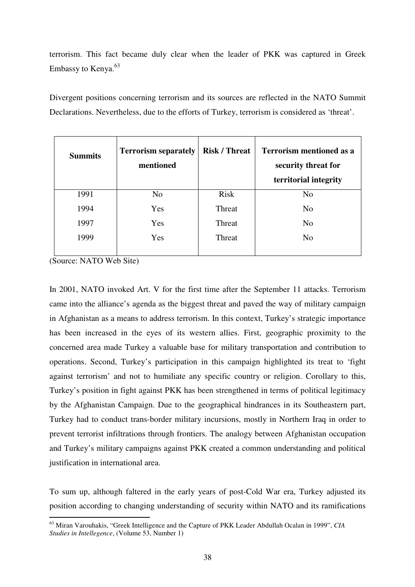terrorism. This fact became duly clear when the leader of PKK was captured in Greek Embassy to Kenya.<sup>63</sup>

Divergent positions concerning terrorism and its sources are reflected in the NATO Summit Declarations. Nevertheless, due to the efforts of Turkey, terrorism is considered as 'threat'.

| <b>Summits</b> | <b>Terrorism separately</b><br>mentioned | <b>Risk / Threat</b> | <b>Terrorism mentioned as a</b><br>security threat for<br>territorial integrity |
|----------------|------------------------------------------|----------------------|---------------------------------------------------------------------------------|
| 1991           | N <sub>o</sub>                           | <b>Risk</b>          | N <sub>o</sub>                                                                  |
| 1994           | Yes                                      | Threat               | N <sub>o</sub>                                                                  |
| 1997           | Yes                                      | Threat               | N <sub>o</sub>                                                                  |
| 1999           | Yes                                      | Threat               | N <sub>o</sub>                                                                  |

(Source: NATO Web Site)

 $\overline{a}$ 

In 2001, NATO invoked Art. V for the first time after the September 11 attacks. Terrorism came into the alliance's agenda as the biggest threat and paved the way of military campaign in Afghanistan as a means to address terrorism. In this context, Turkey's strategic importance has been increased in the eyes of its western allies. First, geographic proximity to the concerned area made Turkey a valuable base for military transportation and contribution to operations. Second, Turkey's participation in this campaign highlighted its treat to 'fight against terrorism' and not to humiliate any specific country or religion. Corollary to this, Turkey's position in fight against PKK has been strengthened in terms of political legitimacy by the Afghanistan Campaign. Due to the geographical hindrances in its Southeastern part, Turkey had to conduct trans-border military incursions, mostly in Northern Iraq in order to prevent terrorist infiltrations through frontiers. The analogy between Afghanistan occupation and Turkey's military campaigns against PKK created a common understanding and political justification in international area.

To sum up, although faltered in the early years of post-Cold War era, Turkey adjusted its position according to changing understanding of security within NATO and its ramifications

<sup>63</sup> Miran Varouhakis, "Greek Intelligence and the Capture of PKK Leader Abdullah Ocalan in 1999", *CIA Studies in Intellegence*, (Volume 53, Number 1)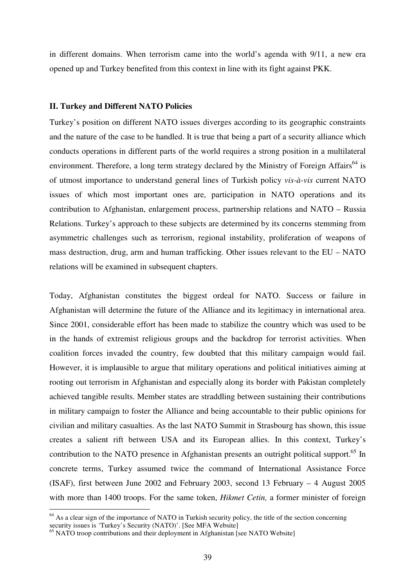in different domains. When terrorism came into the world's agenda with 9/11, a new era opened up and Turkey benefited from this context in line with its fight against PKK.

#### **II. Turkey and Different NATO Policies**

Turkey's position on different NATO issues diverges according to its geographic constraints and the nature of the case to be handled. It is true that being a part of a security alliance which conducts operations in different parts of the world requires a strong position in a multilateral environment. Therefore, a long term strategy declared by the Ministry of Foreign Affairs<sup>64</sup> is of utmost importance to understand general lines of Turkish policy *vis-à-vis* current NATO issues of which most important ones are, participation in NATO operations and its contribution to Afghanistan, enlargement process, partnership relations and NATO – Russia Relations. Turkey's approach to these subjects are determined by its concerns stemming from asymmetric challenges such as terrorism, regional instability, proliferation of weapons of mass destruction, drug, arm and human trafficking. Other issues relevant to the EU – NATO relations will be examined in subsequent chapters.

Today, Afghanistan constitutes the biggest ordeal for NATO. Success or failure in Afghanistan will determine the future of the Alliance and its legitimacy in international area. Since 2001, considerable effort has been made to stabilize the country which was used to be in the hands of extremist religious groups and the backdrop for terrorist activities. When coalition forces invaded the country, few doubted that this military campaign would fail. However, it is implausible to argue that military operations and political initiatives aiming at rooting out terrorism in Afghanistan and especially along its border with Pakistan completely achieved tangible results. Member states are straddling between sustaining their contributions in military campaign to foster the Alliance and being accountable to their public opinions for civilian and military casualties. As the last NATO Summit in Strasbourg has shown, this issue creates a salient rift between USA and its European allies. In this context, Turkey's contribution to the NATO presence in Afghanistan presents an outright political support.<sup>65</sup> In concrete terms, Turkey assumed twice the command of International Assistance Force (ISAF), first between June 2002 and February 2003, second 13 February – 4 August 2005 with more than 1400 troops. For the same token, *Hikmet Cetin,* a former minister of foreign

 $64$  As a clear sign of the importance of NATO in Turkish security policy, the title of the section concerning security issues is 'Turkey's Security (NATO)'. [See MFA Website]

<sup>&</sup>lt;sup>65</sup> NATO troop contributions and their deployment in Afghanistan [see NATO Website]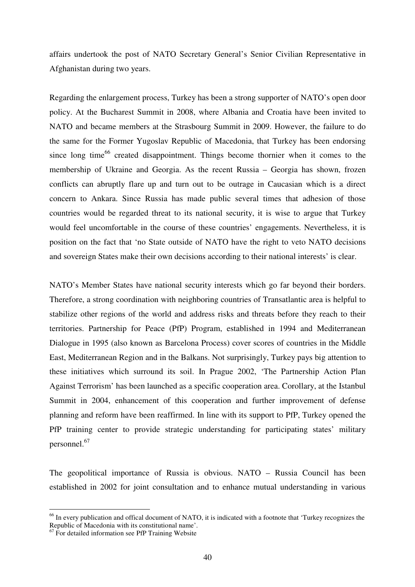affairs undertook the post of NATO Secretary General's Senior Civilian Representative in Afghanistan during two years.

Regarding the enlargement process, Turkey has been a strong supporter of NATO's open door policy. At the Bucharest Summit in 2008, where Albania and Croatia have been invited to NATO and became members at the Strasbourg Summit in 2009. However, the failure to do the same for the Former Yugoslav Republic of Macedonia, that Turkey has been endorsing since long time<sup>66</sup> created disappointment. Things become thornier when it comes to the membership of Ukraine and Georgia. As the recent Russia – Georgia has shown, frozen conflicts can abruptly flare up and turn out to be outrage in Caucasian which is a direct concern to Ankara. Since Russia has made public several times that adhesion of those countries would be regarded threat to its national security, it is wise to argue that Turkey would feel uncomfortable in the course of these countries' engagements. Nevertheless, it is position on the fact that 'no State outside of NATO have the right to veto NATO decisions and sovereign States make their own decisions according to their national interests' is clear.

NATO's Member States have national security interests which go far beyond their borders. Therefore, a strong coordination with neighboring countries of Transatlantic area is helpful to stabilize other regions of the world and address risks and threats before they reach to their territories. Partnership for Peace (PfP) Program, established in 1994 and Mediterranean Dialogue in 1995 (also known as Barcelona Process) cover scores of countries in the Middle East, Mediterranean Region and in the Balkans. Not surprisingly, Turkey pays big attention to these initiatives which surround its soil. In Prague 2002, 'The Partnership Action Plan Against Terrorism' has been launched as a specific cooperation area. Corollary, at the Istanbul Summit in 2004, enhancement of this cooperation and further improvement of defense planning and reform have been reaffirmed. In line with its support to PfP, Turkey opened the PfP training center to provide strategic understanding for participating states' military personnel.<sup>67</sup>

The geopolitical importance of Russia is obvious. NATO – Russia Council has been established in 2002 for joint consultation and to enhance mutual understanding in various

<sup>&</sup>lt;sup>66</sup> In every publication and offical document of NATO, it is indicated with a footnote that 'Turkey recognizes the Republic of Macedonia with its constitutional name'.

 $67 \text{ F}$  For detailed information see PfP Training Website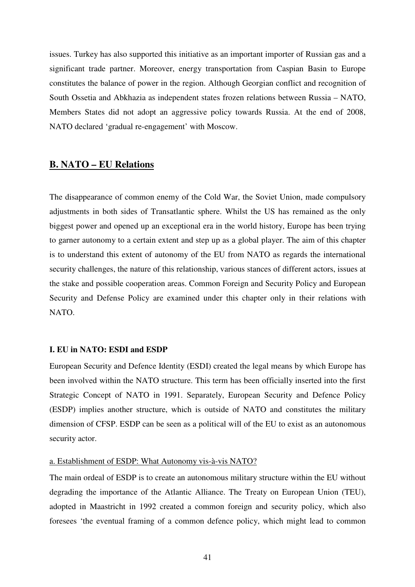issues. Turkey has also supported this initiative as an important importer of Russian gas and a significant trade partner. Moreover, energy transportation from Caspian Basin to Europe constitutes the balance of power in the region. Although Georgian conflict and recognition of South Ossetia and Abkhazia as independent states frozen relations between Russia – NATO, Members States did not adopt an aggressive policy towards Russia. At the end of 2008, NATO declared 'gradual re-engagement' with Moscow.

## **B. NATO – EU Relations**

The disappearance of common enemy of the Cold War, the Soviet Union, made compulsory adjustments in both sides of Transatlantic sphere. Whilst the US has remained as the only biggest power and opened up an exceptional era in the world history, Europe has been trying to garner autonomy to a certain extent and step up as a global player. The aim of this chapter is to understand this extent of autonomy of the EU from NATO as regards the international security challenges, the nature of this relationship, various stances of different actors, issues at the stake and possible cooperation areas. Common Foreign and Security Policy and European Security and Defense Policy are examined under this chapter only in their relations with NATO.

#### **I. EU in NATO: ESDI and ESDP**

European Security and Defence Identity (ESDI) created the legal means by which Europe has been involved within the NATO structure. This term has been officially inserted into the first Strategic Concept of NATO in 1991. Separately, European Security and Defence Policy (ESDP) implies another structure, which is outside of NATO and constitutes the military dimension of CFSP. ESDP can be seen as a political will of the EU to exist as an autonomous security actor.

#### a. Establishment of ESDP: What Autonomy vis-à-vis NATO?

The main ordeal of ESDP is to create an autonomous military structure within the EU without degrading the importance of the Atlantic Alliance. The Treaty on European Union (TEU), adopted in Maastricht in 1992 created a common foreign and security policy, which also foresees 'the eventual framing of a common defence policy, which might lead to common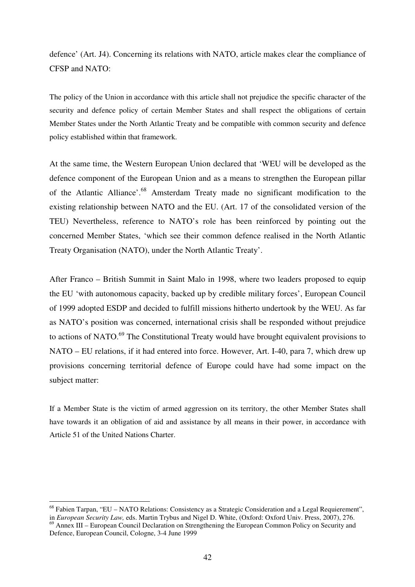defence' (Art. J4). Concerning its relations with NATO, article makes clear the compliance of CFSP and NATO:

The policy of the Union in accordance with this article shall not prejudice the specific character of the security and defence policy of certain Member States and shall respect the obligations of certain Member States under the North Atlantic Treaty and be compatible with common security and defence policy established within that framework.

At the same time, the Western European Union declared that 'WEU will be developed as the defence component of the European Union and as a means to strengthen the European pillar of the Atlantic Alliance'.<sup>68</sup> Amsterdam Treaty made no significant modification to the existing relationship between NATO and the EU. (Art. 17 of the consolidated version of the TEU) Nevertheless, reference to NATO's role has been reinforced by pointing out the concerned Member States, 'which see their common defence realised in the North Atlantic Treaty Organisation (NATO), under the North Atlantic Treaty'.

After Franco – British Summit in Saint Malo in 1998, where two leaders proposed to equip the EU 'with autonomous capacity, backed up by credible military forces', European Council of 1999 adopted ESDP and decided to fulfill missions hitherto undertook by the WEU. As far as NATO's position was concerned, international crisis shall be responded without prejudice to actions of NATO.<sup>69</sup> The Constitutional Treaty would have brought equivalent provisions to NATO – EU relations, if it had entered into force. However, Art. I-40, para 7, which drew up provisions concerning territorial defence of Europe could have had some impact on the subject matter:

If a Member State is the victim of armed aggression on its territory, the other Member States shall have towards it an obligation of aid and assistance by all means in their power, in accordance with Article 51 of the United Nations Charter.

<sup>68</sup> Fabien Tarpan, "EU – NATO Relations: Consistency as a Strategic Consideration and a Legal Requierement", in *European Security Law,* eds. Martin Trybus and Nigel D. White, (Oxford: Oxford Univ. Press, 2007), 276.  $^{69}$  Annex III – European Council Declaration on Strengthening the European Common Policy on Security and

Defence, European Council, Cologne, 3-4 June 1999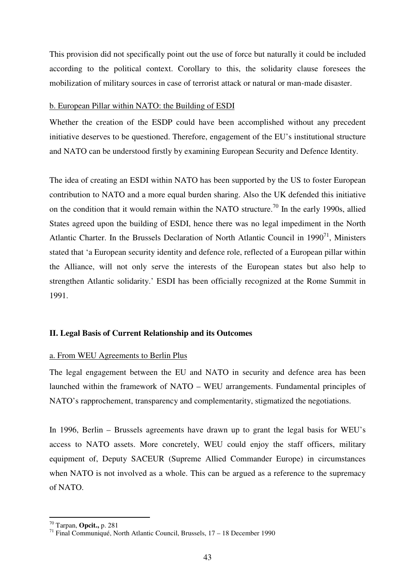This provision did not specifically point out the use of force but naturally it could be included according to the political context. Corollary to this, the solidarity clause foresees the mobilization of military sources in case of terrorist attack or natural or man-made disaster.

#### b. European Pillar within NATO: the Building of ESDI

Whether the creation of the ESDP could have been accomplished without any precedent initiative deserves to be questioned. Therefore, engagement of the EU's institutional structure and NATO can be understood firstly by examining European Security and Defence Identity.

The idea of creating an ESDI within NATO has been supported by the US to foster European contribution to NATO and a more equal burden sharing. Also the UK defended this initiative on the condition that it would remain within the NATO structure.<sup>70</sup> In the early 1990s, allied States agreed upon the building of ESDI, hence there was no legal impediment in the North Atlantic Charter. In the Brussels Declaration of North Atlantic Council in  $1990<sup>71</sup>$ , Ministers stated that 'a European security identity and defence role, reflected of a European pillar within the Alliance, will not only serve the interests of the European states but also help to strengthen Atlantic solidarity.' ESDI has been officially recognized at the Rome Summit in 1991.

#### **II. Legal Basis of Current Relationship and its Outcomes**

#### a. From WEU Agreements to Berlin Plus

The legal engagement between the EU and NATO in security and defence area has been launched within the framework of NATO – WEU arrangements. Fundamental principles of NATO's rapprochement, transparency and complementarity, stigmatized the negotiations.

In 1996, Berlin – Brussels agreements have drawn up to grant the legal basis for WEU's access to NATO assets. More concretely, WEU could enjoy the staff officers, military equipment of, Deputy SACEUR (Supreme Allied Commander Europe) in circumstances when NATO is not involved as a whole. This can be argued as a reference to the supremacy of NATO.

<sup>70</sup> Tarpan, **Opcit.,** p. 281

<sup>71</sup> Final Communiqué, North Atlantic Council, Brussels, 17 – 18 December 1990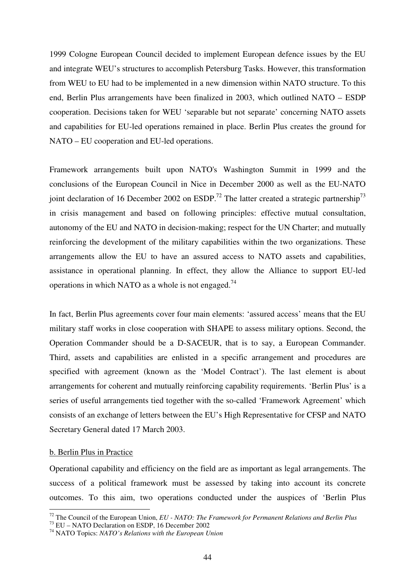1999 Cologne European Council decided to implement European defence issues by the EU and integrate WEU's structures to accomplish Petersburg Tasks. However, this transformation from WEU to EU had to be implemented in a new dimension within NATO structure. To this end, Berlin Plus arrangements have been finalized in 2003, which outlined NATO – ESDP cooperation. Decisions taken for WEU 'separable but not separate' concerning NATO assets and capabilities for EU-led operations remained in place. Berlin Plus creates the ground for NATO – EU cooperation and EU-led operations.

Framework arrangements built upon NATO's Washington Summit in 1999 and the conclusions of the European Council in Nice in December 2000 as well as the EU-NATO joint declaration of 16 December 2002 on ESDP.<sup>72</sup> The latter created a strategic partnership<sup>73</sup> in crisis management and based on following principles: effective mutual consultation, autonomy of the EU and NATO in decision-making; respect for the UN Charter; and mutually reinforcing the development of the military capabilities within the two organizations. These arrangements allow the EU to have an assured access to NATO assets and capabilities, assistance in operational planning. In effect, they allow the Alliance to support EU-led operations in which NATO as a whole is not engaged.<sup>74</sup>

In fact, Berlin Plus agreements cover four main elements: 'assured access' means that the EU military staff works in close cooperation with SHAPE to assess military options. Second, the Operation Commander should be a D-SACEUR, that is to say, a European Commander. Third, assets and capabilities are enlisted in a specific arrangement and procedures are specified with agreement (known as the 'Model Contract'). The last element is about arrangements for coherent and mutually reinforcing capability requirements. 'Berlin Plus' is a series of useful arrangements tied together with the so-called 'Framework Agreement' which consists of an exchange of letters between the EU's High Representative for CFSP and NATO Secretary General dated 17 March 2003.

#### b. Berlin Plus in Practice

 $\overline{a}$ 

Operational capability and efficiency on the field are as important as legal arrangements. The success of a political framework must be assessed by taking into account its concrete outcomes. To this aim, two operations conducted under the auspices of 'Berlin Plus

<sup>72</sup> The Council of the European Union, *EU - NATO: The Framework for Permanent Relations and Berlin Plus*

<sup>&</sup>lt;sup>73</sup> EU – NATO Declaration on ESDP, 16 December 2002

<sup>74</sup> NATO Topics: *NATO's Relations with the European Union*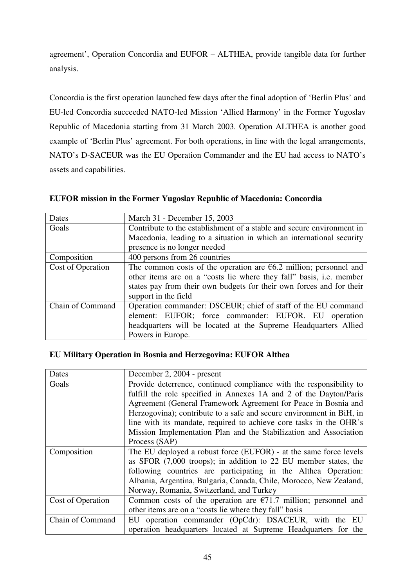agreement', Operation Concordia and EUFOR – ALTHEA, provide tangible data for further analysis.

Concordia is the first operation launched few days after the final adoption of 'Berlin Plus' and EU-led Concordia succeeded NATO-led Mission 'Allied Harmony' in the Former Yugoslav Republic of Macedonia starting from 31 March 2003. Operation ALTHEA is another good example of 'Berlin Plus' agreement. For both operations, in line with the legal arrangements, NATO's D-SACEUR was the EU Operation Commander and the EU had access to NATO's assets and capabilities.

**EUFOR mission in the Former Yugoslav Republic of Macedonia: Concordia** 

| Dates             | March 31 - December 15, 2003                                          |  |  |
|-------------------|-----------------------------------------------------------------------|--|--|
| Goals             | Contribute to the establishment of a stable and secure environment in |  |  |
|                   | Macedonia, leading to a situation in which an international security  |  |  |
|                   | presence is no longer needed                                          |  |  |
| Composition       | 400 persons from 26 countries                                         |  |  |
| Cost of Operation | The common costs of the operation are $6.2$ million; personnel and    |  |  |
|                   | other items are on a "costs lie where they fall" basis, i.e. member   |  |  |
|                   | states pay from their own budgets for their own forces and for their  |  |  |
|                   | support in the field                                                  |  |  |
| Chain of Command  | Operation commander: DSCEUR; chief of staff of the EU command         |  |  |
|                   | element: EUFOR; force commander: EUFOR. EU operation                  |  |  |
|                   | headquarters will be located at the Supreme Headquarters Allied       |  |  |
|                   | Powers in Europe.                                                     |  |  |

## **EU Military Operation in Bosnia and Herzegovina: EUFOR Althea**

| Dates             | December 2, 2004 - present                                           |  |  |
|-------------------|----------------------------------------------------------------------|--|--|
| Goals             | Provide deterrence, continued compliance with the responsibility to  |  |  |
|                   | fulfill the role specified in Annexes 1A and 2 of the Dayton/Paris   |  |  |
|                   | Agreement (General Framework Agreement for Peace in Bosnia and       |  |  |
|                   | Herzogovina); contribute to a safe and secure environment in BiH, in |  |  |
|                   | line with its mandate, required to achieve core tasks in the OHR's   |  |  |
|                   | Mission Implementation Plan and the Stabilization and Association    |  |  |
|                   | Process (SAP)                                                        |  |  |
| Composition       | The EU deployed a robust force (EUFOR) - at the same force levels    |  |  |
|                   | as SFOR (7,000 troops); in addition to 22 EU member states, the      |  |  |
|                   | following countries are participating in the Althea Operation:       |  |  |
|                   | Albania, Argentina, Bulgaria, Canada, Chile, Morocco, New Zealand,   |  |  |
|                   | Norway, Romania, Switzerland, and Turkey                             |  |  |
| Cost of Operation | Common costs of the operation are $E$ 71.7 million; personnel and    |  |  |
|                   | other items are on a "costs lie where they fall" basis               |  |  |
| Chain of Command  | EU operation commander (OpCdr): DSACEUR, with the EU                 |  |  |
|                   | operation headquarters located at Supreme Headquarters for the       |  |  |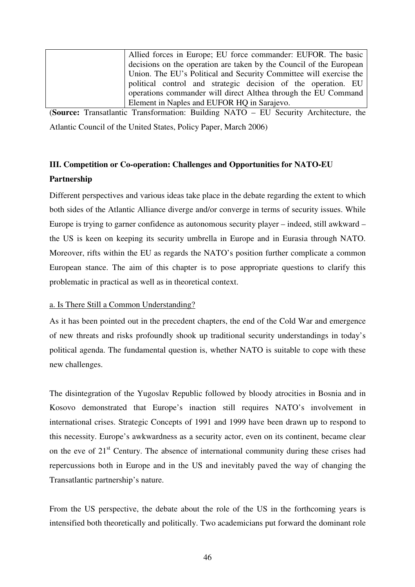| Allied forces in Europe; EU force commander: EUFOR. The basic       |
|---------------------------------------------------------------------|
| decisions on the operation are taken by the Council of the European |
| Union. The EU's Political and Security Committee will exercise the  |
| political control and strategic decision of the operation. EU       |
| operations commander will direct Althea through the EU Command      |
| Element in Naples and EUFOR HQ in Sarajevo.                         |

(**Source:** Transatlantic Transformation: Building NATO – EU Security Architecture, the Atlantic Council of the United States, Policy Paper, March 2006)

## **III. Competition or Co-operation: Challenges and Opportunities for NATO-EU Partnership**

Different perspectives and various ideas take place in the debate regarding the extent to which both sides of the Atlantic Alliance diverge and/or converge in terms of security issues. While Europe is trying to garner confidence as autonomous security player – indeed, still awkward – the US is keen on keeping its security umbrella in Europe and in Eurasia through NATO. Moreover, rifts within the EU as regards the NATO's position further complicate a common European stance. The aim of this chapter is to pose appropriate questions to clarify this problematic in practical as well as in theoretical context.

## a. Is There Still a Common Understanding?

As it has been pointed out in the precedent chapters, the end of the Cold War and emergence of new threats and risks profoundly shook up traditional security understandings in today's political agenda. The fundamental question is, whether NATO is suitable to cope with these new challenges.

The disintegration of the Yugoslav Republic followed by bloody atrocities in Bosnia and in Kosovo demonstrated that Europe's inaction still requires NATO's involvement in international crises. Strategic Concepts of 1991 and 1999 have been drawn up to respond to this necessity. Europe's awkwardness as a security actor, even on its continent, became clear on the eve of  $21<sup>st</sup>$  Century. The absence of international community during these crises had repercussions both in Europe and in the US and inevitably paved the way of changing the Transatlantic partnership's nature.

From the US perspective, the debate about the role of the US in the forthcoming years is intensified both theoretically and politically. Two academicians put forward the dominant role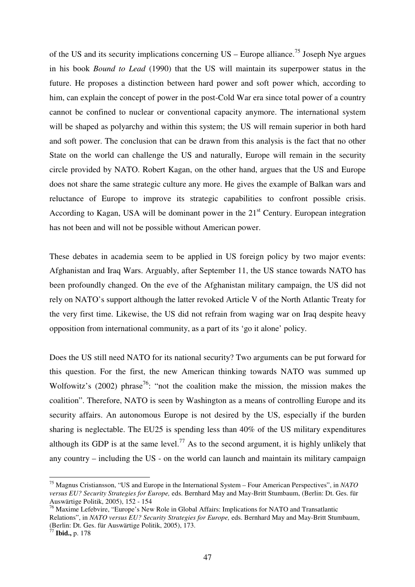of the US and its security implications concerning  $US$  – Europe alliance.<sup>75</sup> Joseph Nye argues in his book *Bound to Lead* (1990) that the US will maintain its superpower status in the future. He proposes a distinction between hard power and soft power which, according to him, can explain the concept of power in the post-Cold War era since total power of a country cannot be confined to nuclear or conventional capacity anymore. The international system will be shaped as polyarchy and within this system; the US will remain superior in both hard and soft power. The conclusion that can be drawn from this analysis is the fact that no other State on the world can challenge the US and naturally, Europe will remain in the security circle provided by NATO. Robert Kagan, on the other hand, argues that the US and Europe does not share the same strategic culture any more. He gives the example of Balkan wars and reluctance of Europe to improve its strategic capabilities to confront possible crisis. According to Kagan, USA will be dominant power in the 21<sup>st</sup> Century. European integration has not been and will not be possible without American power.

These debates in academia seem to be applied in US foreign policy by two major events: Afghanistan and Iraq Wars. Arguably, after September 11, the US stance towards NATO has been profoundly changed. On the eve of the Afghanistan military campaign, the US did not rely on NATO's support although the latter revoked Article V of the North Atlantic Treaty for the very first time. Likewise, the US did not refrain from waging war on Iraq despite heavy opposition from international community, as a part of its 'go it alone' policy.

Does the US still need NATO for its national security? Two arguments can be put forward for this question. For the first, the new American thinking towards NATO was summed up Wolfowitz's (2002) phrase<sup>76</sup>: "not the coalition make the mission, the mission makes the coalition". Therefore, NATO is seen by Washington as a means of controlling Europe and its security affairs. An autonomous Europe is not desired by the US, especially if the burden sharing is neglectable. The EU25 is spending less than 40% of the US military expenditures although its GDP is at the same level.<sup>77</sup> As to the second argument, it is highly unlikely that any country – including the US - on the world can launch and maintain its military campaign

<sup>75</sup> Magnus Cristiansson, "US and Europe in the International System – Four American Perspectives", in *NATO versus EU? Security Strategies for Europe,* eds. Bernhard May and May-Britt Stumbaum, (Berlin: Dt. Ges. für Auswärtige Politik, 2005), 152 - 154

<sup>&</sup>lt;sup>76</sup> Maxime Lefebvire, "Europe's New Role in Global Affairs: Implications for NATO and Transatlantic Relations", in *NATO versus EU? Security Strategies for Europe,* eds. Bernhard May and May-Britt Stumbaum, (Berlin: Dt. Ges. für Auswärtige Politik, 2005), 173.

<sup>77</sup> **Ibid.,** p. 178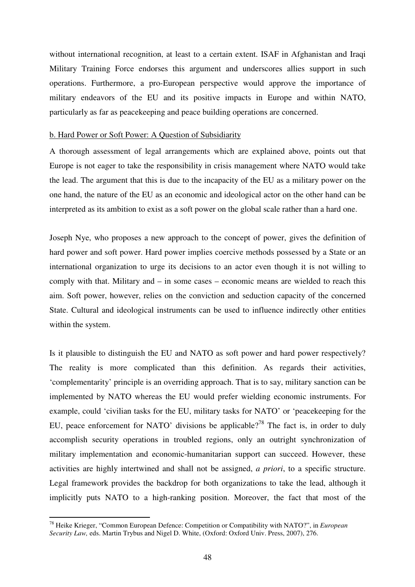without international recognition, at least to a certain extent. ISAF in Afghanistan and Iraqi Military Training Force endorses this argument and underscores allies support in such operations. Furthermore, a pro-European perspective would approve the importance of military endeavors of the EU and its positive impacts in Europe and within NATO, particularly as far as peacekeeping and peace building operations are concerned.

#### b. Hard Power or Soft Power: A Question of Subsidiarity

A thorough assessment of legal arrangements which are explained above, points out that Europe is not eager to take the responsibility in crisis management where NATO would take the lead. The argument that this is due to the incapacity of the EU as a military power on the one hand, the nature of the EU as an economic and ideological actor on the other hand can be interpreted as its ambition to exist as a soft power on the global scale rather than a hard one.

Joseph Nye, who proposes a new approach to the concept of power, gives the definition of hard power and soft power. Hard power implies coercive methods possessed by a State or an international organization to urge its decisions to an actor even though it is not willing to comply with that. Military and – in some cases – economic means are wielded to reach this aim. Soft power, however, relies on the conviction and seduction capacity of the concerned State. Cultural and ideological instruments can be used to influence indirectly other entities within the system.

Is it plausible to distinguish the EU and NATO as soft power and hard power respectively? The reality is more complicated than this definition. As regards their activities, 'complementarity' principle is an overriding approach. That is to say, military sanction can be implemented by NATO whereas the EU would prefer wielding economic instruments. For example, could 'civilian tasks for the EU, military tasks for NATO' or 'peacekeeping for the EU, peace enforcement for NATO' divisions be applicable?<sup>78</sup> The fact is, in order to duly accomplish security operations in troubled regions, only an outright synchronization of military implementation and economic-humanitarian support can succeed. However, these activities are highly intertwined and shall not be assigned, *a priori*, to a specific structure. Legal framework provides the backdrop for both organizations to take the lead, although it implicitly puts NATO to a high-ranking position. Moreover, the fact that most of the

<sup>78</sup> Heike Krieger, "Common European Defence: Competition or Compatibility with NATO?", in *European Security Law,* eds. Martin Trybus and Nigel D. White, (Oxford: Oxford Univ. Press, 2007), 276.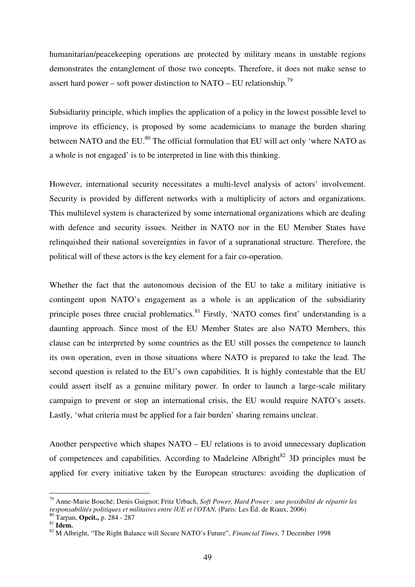humanitarian/peacekeeping operations are protected by military means in unstable regions demonstrates the entanglement of those two concepts. Therefore, it does not make sense to assert hard power – soft power distinction to NATO – EU relationship.<sup>79</sup>

Subsidiarity principle, which implies the application of a policy in the lowest possible level to improve its efficiency, is proposed by some academicians to manage the burden sharing between NATO and the EU.<sup>80</sup> The official formulation that EU will act only 'where NATO as a whole is not engaged' is to be interpreted in line with this thinking.

However, international security necessitates a multi-level analysis of actors' involvement. Security is provided by different networks with a multiplicity of actors and organizations. This multilevel system is characterized by some international organizations which are dealing with defence and security issues. Neither in NATO nor in the EU Member States have relinquished their national sovereignties in favor of a supranational structure. Therefore, the political will of these actors is the key element for a fair co-operation.

Whether the fact that the autonomous decision of the EU to take a military initiative is contingent upon NATO's engagement as a whole is an application of the subsidiarity principle poses three crucial problematics. $81$  Firstly, 'NATO comes first' understanding is a daunting approach. Since most of the EU Member States are also NATO Members, this clause can be interpreted by some countries as the EU still posses the competence to launch its own operation, even in those situations where NATO is prepared to take the lead. The second question is related to the EU's own capabilities. It is highly contestable that the EU could assert itself as a genuine military power. In order to launch a large-scale military campaign to prevent or stop an international crisis, the EU would require NATO's assets. Lastly, 'what criteria must be applied for a fair burden' sharing remains unclear.

Another perspective which shapes NATO – EU relations is to avoid unnecessary duplication of competences and capabilities. According to Madeleine Albright<sup>82</sup> 3D principles must be applied for every initiative taken by the European structures: avoiding the duplication of

<sup>79</sup> Anne-Marie Bouché; Denis Guignot; Fritz Urbach, *Soft Power, Hard Power : une possibilité de répartir les responsabilités politiques et militaires entre lUE et l'OTAN,* (Paris: Les Éd. de Riaux, 2006)

<sup>80</sup> Tarpan, **Opcit.,** p. 284 - 287

<sup>81</sup> **Idem.** 

<sup>82</sup> M Albright, "The Right Balance will Secure NATO's Future", *Financial Times,* 7 December 1998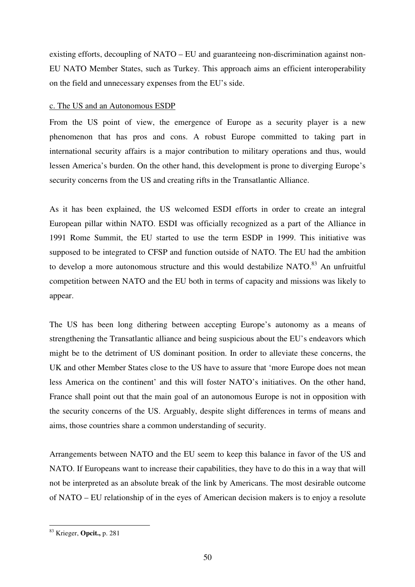existing efforts, decoupling of NATO – EU and guaranteeing non-discrimination against non-EU NATO Member States, such as Turkey. This approach aims an efficient interoperability on the field and unnecessary expenses from the EU's side.

## c. The US and an Autonomous ESDP

From the US point of view, the emergence of Europe as a security player is a new phenomenon that has pros and cons. A robust Europe committed to taking part in international security affairs is a major contribution to military operations and thus, would lessen America's burden. On the other hand, this development is prone to diverging Europe's security concerns from the US and creating rifts in the Transatlantic Alliance.

As it has been explained, the US welcomed ESDI efforts in order to create an integral European pillar within NATO. ESDI was officially recognized as a part of the Alliance in 1991 Rome Summit, the EU started to use the term ESDP in 1999. This initiative was supposed to be integrated to CFSP and function outside of NATO. The EU had the ambition to develop a more autonomous structure and this would destabilize NATO.<sup>83</sup> An unfruitful competition between NATO and the EU both in terms of capacity and missions was likely to appear.

The US has been long dithering between accepting Europe's autonomy as a means of strengthening the Transatlantic alliance and being suspicious about the EU's endeavors which might be to the detriment of US dominant position. In order to alleviate these concerns, the UK and other Member States close to the US have to assure that 'more Europe does not mean less America on the continent' and this will foster NATO's initiatives. On the other hand, France shall point out that the main goal of an autonomous Europe is not in opposition with the security concerns of the US. Arguably, despite slight differences in terms of means and aims, those countries share a common understanding of security.

Arrangements between NATO and the EU seem to keep this balance in favor of the US and NATO. If Europeans want to increase their capabilities, they have to do this in a way that will not be interpreted as an absolute break of the link by Americans. The most desirable outcome of NATO – EU relationship of in the eyes of American decision makers is to enjoy a resolute

<sup>83</sup> Krieger, **Opcit.,** p. 281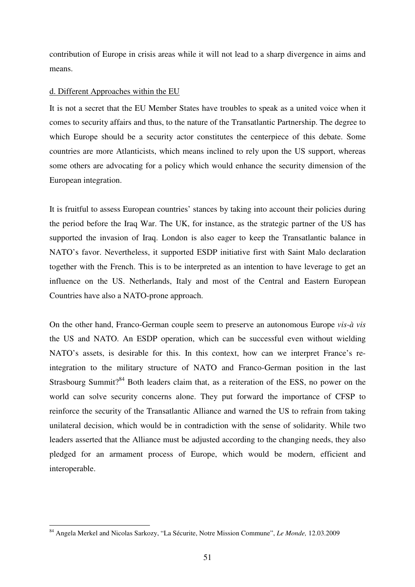contribution of Europe in crisis areas while it will not lead to a sharp divergence in aims and means.

#### d. Different Approaches within the EU

It is not a secret that the EU Member States have troubles to speak as a united voice when it comes to security affairs and thus, to the nature of the Transatlantic Partnership. The degree to which Europe should be a security actor constitutes the centerpiece of this debate. Some countries are more Atlanticists, which means inclined to rely upon the US support, whereas some others are advocating for a policy which would enhance the security dimension of the European integration.

It is fruitful to assess European countries' stances by taking into account their policies during the period before the Iraq War. The UK, for instance, as the strategic partner of the US has supported the invasion of Iraq. London is also eager to keep the Transatlantic balance in NATO's favor. Nevertheless, it supported ESDP initiative first with Saint Malo declaration together with the French. This is to be interpreted as an intention to have leverage to get an influence on the US. Netherlands, Italy and most of the Central and Eastern European Countries have also a NATO-prone approach.

On the other hand, Franco-German couple seem to preserve an autonomous Europe *vis-à vis*  the US and NATO. An ESDP operation, which can be successful even without wielding NATO's assets, is desirable for this. In this context, how can we interpret France's reintegration to the military structure of NATO and Franco-German position in the last Strasbourg Summit?<sup>84</sup> Both leaders claim that, as a reiteration of the ESS, no power on the world can solve security concerns alone. They put forward the importance of CFSP to reinforce the security of the Transatlantic Alliance and warned the US to refrain from taking unilateral decision, which would be in contradiction with the sense of solidarity. While two leaders asserted that the Alliance must be adjusted according to the changing needs, they also pledged for an armament process of Europe, which would be modern, efficient and interoperable.

<sup>84</sup> Angela Merkel and Nicolas Sarkozy, "La Sécurite, Notre Mission Commune", *Le Monde,* 12.03.2009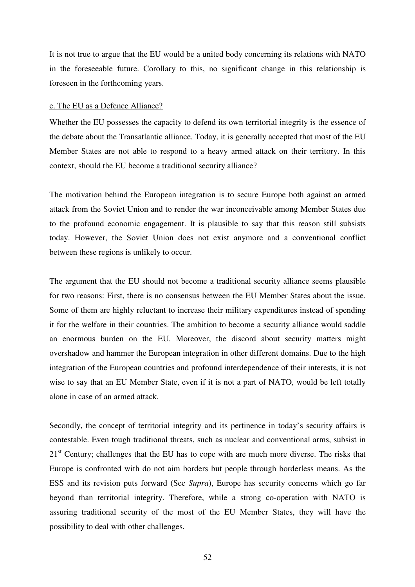It is not true to argue that the EU would be a united body concerning its relations with NATO in the foreseeable future. Corollary to this, no significant change in this relationship is foreseen in the forthcoming years.

#### e. The EU as a Defence Alliance?

Whether the EU possesses the capacity to defend its own territorial integrity is the essence of the debate about the Transatlantic alliance. Today, it is generally accepted that most of the EU Member States are not able to respond to a heavy armed attack on their territory. In this context, should the EU become a traditional security alliance?

The motivation behind the European integration is to secure Europe both against an armed attack from the Soviet Union and to render the war inconceivable among Member States due to the profound economic engagement. It is plausible to say that this reason still subsists today. However, the Soviet Union does not exist anymore and a conventional conflict between these regions is unlikely to occur.

The argument that the EU should not become a traditional security alliance seems plausible for two reasons: First, there is no consensus between the EU Member States about the issue. Some of them are highly reluctant to increase their military expenditures instead of spending it for the welfare in their countries. The ambition to become a security alliance would saddle an enormous burden on the EU. Moreover, the discord about security matters might overshadow and hammer the European integration in other different domains. Due to the high integration of the European countries and profound interdependence of their interests, it is not wise to say that an EU Member State, even if it is not a part of NATO, would be left totally alone in case of an armed attack.

Secondly, the concept of territorial integrity and its pertinence in today's security affairs is contestable. Even tough traditional threats, such as nuclear and conventional arms, subsist in  $21<sup>st</sup>$  Century; challenges that the EU has to cope with are much more diverse. The risks that Europe is confronted with do not aim borders but people through borderless means. As the ESS and its revision puts forward (See *Supra*), Europe has security concerns which go far beyond than territorial integrity. Therefore, while a strong co-operation with NATO is assuring traditional security of the most of the EU Member States, they will have the possibility to deal with other challenges.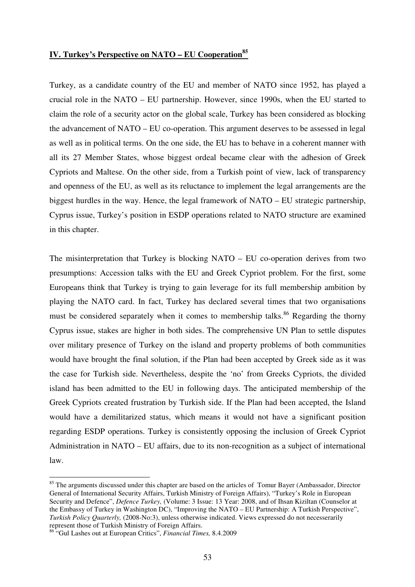## **IV. Turkey's Perspective on NATO – EU Cooperation<sup>85</sup>**

Turkey, as a candidate country of the EU and member of NATO since 1952, has played a crucial role in the NATO – EU partnership. However, since 1990s, when the EU started to claim the role of a security actor on the global scale, Turkey has been considered as blocking the advancement of NATO – EU co-operation. This argument deserves to be assessed in legal as well as in political terms. On the one side, the EU has to behave in a coherent manner with all its 27 Member States, whose biggest ordeal became clear with the adhesion of Greek Cypriots and Maltese. On the other side, from a Turkish point of view, lack of transparency and openness of the EU, as well as its reluctance to implement the legal arrangements are the biggest hurdles in the way. Hence, the legal framework of NATO – EU strategic partnership, Cyprus issue, Turkey's position in ESDP operations related to NATO structure are examined in this chapter.

The misinterpretation that Turkey is blocking NATO – EU co-operation derives from two presumptions: Accession talks with the EU and Greek Cypriot problem. For the first, some Europeans think that Turkey is trying to gain leverage for its full membership ambition by playing the NATO card. In fact, Turkey has declared several times that two organisations must be considered separately when it comes to membership talks.<sup>86</sup> Regarding the thorny Cyprus issue, stakes are higher in both sides. The comprehensive UN Plan to settle disputes over military presence of Turkey on the island and property problems of both communities would have brought the final solution, if the Plan had been accepted by Greek side as it was the case for Turkish side. Nevertheless, despite the 'no' from Greeks Cypriots, the divided island has been admitted to the EU in following days. The anticipated membership of the Greek Cypriots created frustration by Turkish side. If the Plan had been accepted, the Island would have a demilitarized status, which means it would not have a significant position regarding ESDP operations. Turkey is consistently opposing the inclusion of Greek Cypriot Administration in NATO – EU affairs, due to its non-recognition as a subject of international law.

<sup>&</sup>lt;sup>85</sup> The arguments discussed under this chapter are based on the articles of Tomur Bayer (Ambassador, Director General of International Security Affairs, Turkish Ministry of Foreign Affairs), "Turkey's Role in European Security and Defence", *Defence Turkey,* (Volume: 3 Issue: 13 Year: 2008, and of Ihsan Kiziltan (Counselor at the Embassy of Turkey in Washington DC), "Improving the NATO – EU Partnership: A Turkish Perspective", *Turkish Policy Quarterly,* (2008-No:3), unless otherwise indicated. Views expressed do not necesserarily represent those of Turkish Ministry of Foreign Affairs.

<sup>86</sup> "Gul Lashes out at European Critics", *Financial Times,* 8.4.2009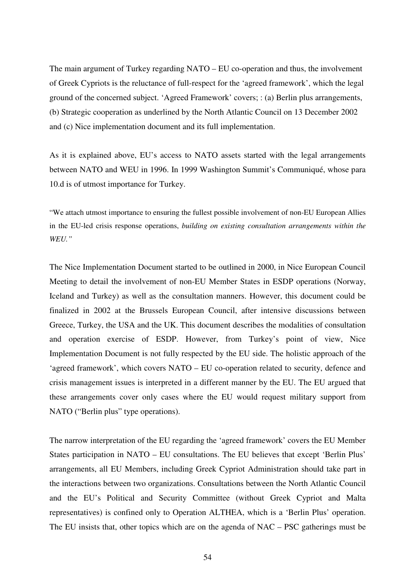The main argument of Turkey regarding NATO – EU co-operation and thus, the involvement of Greek Cypriots is the reluctance of full-respect for the 'agreed framework', which the legal ground of the concerned subject. 'Agreed Framework' covers; : (a) Berlin plus arrangements, (b) Strategic cooperation as underlined by the North Atlantic Council on 13 December 2002 and (c) Nice implementation document and its full implementation.

As it is explained above, EU's access to NATO assets started with the legal arrangements between NATO and WEU in 1996. In 1999 Washington Summit's Communiqué, whose para 10.d is of utmost importance for Turkey.

"We attach utmost importance to ensuring the fullest possible involvement of non-EU European Allies in the EU-led crisis response operations, *building on existing consultation arrangements within the WEU."* 

The Nice Implementation Document started to be outlined in 2000, in Nice European Council Meeting to detail the involvement of non-EU Member States in ESDP operations (Norway, Iceland and Turkey) as well as the consultation manners. However, this document could be finalized in 2002 at the Brussels European Council, after intensive discussions between Greece, Turkey, the USA and the UK. This document describes the modalities of consultation and operation exercise of ESDP. However, from Turkey's point of view, Nice Implementation Document is not fully respected by the EU side. The holistic approach of the 'agreed framework', which covers NATO – EU co-operation related to security, defence and crisis management issues is interpreted in a different manner by the EU. The EU argued that these arrangements cover only cases where the EU would request military support from NATO ("Berlin plus" type operations).

The narrow interpretation of the EU regarding the 'agreed framework' covers the EU Member States participation in NATO – EU consultations. The EU believes that except 'Berlin Plus' arrangements, all EU Members, including Greek Cypriot Administration should take part in the interactions between two organizations. Consultations between the North Atlantic Council and the EU's Political and Security Committee (without Greek Cypriot and Malta representatives) is confined only to Operation ALTHEA, which is a 'Berlin Plus' operation. The EU insists that, other topics which are on the agenda of NAC – PSC gatherings must be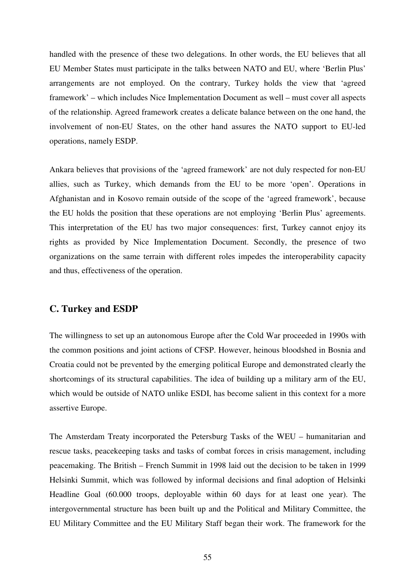handled with the presence of these two delegations. In other words, the EU believes that all EU Member States must participate in the talks between NATO and EU, where 'Berlin Plus' arrangements are not employed. On the contrary, Turkey holds the view that 'agreed framework' – which includes Nice Implementation Document as well – must cover all aspects of the relationship. Agreed framework creates a delicate balance between on the one hand, the involvement of non-EU States, on the other hand assures the NATO support to EU-led operations, namely ESDP.

Ankara believes that provisions of the 'agreed framework' are not duly respected for non-EU allies, such as Turkey, which demands from the EU to be more 'open'. Operations in Afghanistan and in Kosovo remain outside of the scope of the 'agreed framework', because the EU holds the position that these operations are not employing 'Berlin Plus' agreements. This interpretation of the EU has two major consequences: first, Turkey cannot enjoy its rights as provided by Nice Implementation Document. Secondly, the presence of two organizations on the same terrain with different roles impedes the interoperability capacity and thus, effectiveness of the operation.

## **C. Turkey and ESDP**

The willingness to set up an autonomous Europe after the Cold War proceeded in 1990s with the common positions and joint actions of CFSP. However, heinous bloodshed in Bosnia and Croatia could not be prevented by the emerging political Europe and demonstrated clearly the shortcomings of its structural capabilities. The idea of building up a military arm of the EU, which would be outside of NATO unlike ESDI, has become salient in this context for a more assertive Europe.

The Amsterdam Treaty incorporated the Petersburg Tasks of the WEU – humanitarian and rescue tasks, peacekeeping tasks and tasks of combat forces in crisis management, including peacemaking. The British – French Summit in 1998 laid out the decision to be taken in 1999 Helsinki Summit, which was followed by informal decisions and final adoption of Helsinki Headline Goal (60.000 troops, deployable within 60 days for at least one year). The intergovernmental structure has been built up and the Political and Military Committee, the EU Military Committee and the EU Military Staff began their work. The framework for the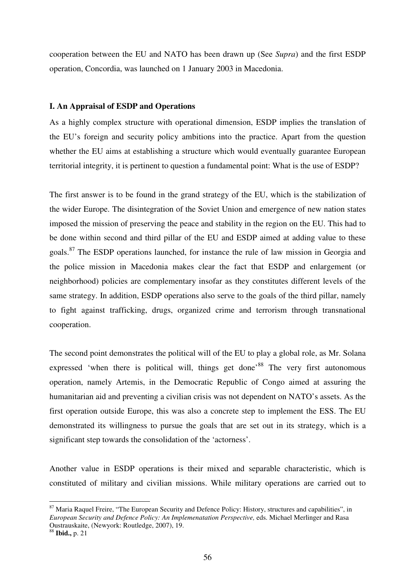cooperation between the EU and NATO has been drawn up (See *Supra*) and the first ESDP operation, Concordia, was launched on 1 January 2003 in Macedonia.

#### **I. An Appraisal of ESDP and Operations**

As a highly complex structure with operational dimension, ESDP implies the translation of the EU's foreign and security policy ambitions into the practice. Apart from the question whether the EU aims at establishing a structure which would eventually guarantee European territorial integrity, it is pertinent to question a fundamental point: What is the use of ESDP?

The first answer is to be found in the grand strategy of the EU, which is the stabilization of the wider Europe. The disintegration of the Soviet Union and emergence of new nation states imposed the mission of preserving the peace and stability in the region on the EU. This had to be done within second and third pillar of the EU and ESDP aimed at adding value to these goals.<sup>87</sup> The ESDP operations launched, for instance the rule of law mission in Georgia and the police mission in Macedonia makes clear the fact that ESDP and enlargement (or neighborhood) policies are complementary insofar as they constitutes different levels of the same strategy. In addition, ESDP operations also serve to the goals of the third pillar, namely to fight against trafficking, drugs, organized crime and terrorism through transnational cooperation.

The second point demonstrates the political will of the EU to play a global role, as Mr. Solana expressed 'when there is political will, things get done<sup>88</sup> The very first autonomous operation, namely Artemis, in the Democratic Republic of Congo aimed at assuring the humanitarian aid and preventing a civilian crisis was not dependent on NATO's assets. As the first operation outside Europe, this was also a concrete step to implement the ESS. The EU demonstrated its willingness to pursue the goals that are set out in its strategy, which is a significant step towards the consolidation of the 'actorness'.

Another value in ESDP operations is their mixed and separable characteristic, which is constituted of military and civilian missions. While military operations are carried out to

<sup>&</sup>lt;sup>87</sup> Maria Raquel Freire, "The European Security and Defence Policy: History, structures and capabilities", in *European Security and Defence Policy: An Implemenatation Perspective,* eds. Michael Merlinger and Rasa Oustrauskaite, (Newyork: Routledge, 2007), 19.

<sup>88</sup> **Ibid.,** p. 21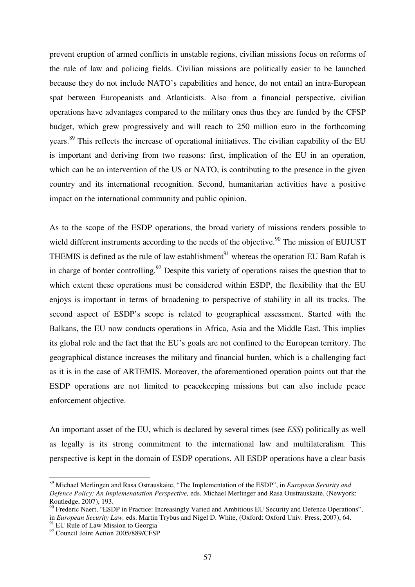prevent eruption of armed conflicts in unstable regions, civilian missions focus on reforms of the rule of law and policing fields. Civilian missions are politically easier to be launched because they do not include NATO's capabilities and hence, do not entail an intra-European spat between Europeanists and Atlanticists. Also from a financial perspective, civilian operations have advantages compared to the military ones thus they are funded by the CFSP budget, which grew progressively and will reach to 250 million euro in the forthcoming years.<sup>89</sup> This reflects the increase of operational initiatives. The civilian capability of the EU is important and deriving from two reasons: first, implication of the EU in an operation, which can be an intervention of the US or NATO, is contributing to the presence in the given country and its international recognition. Second, humanitarian activities have a positive impact on the international community and public opinion.

As to the scope of the ESDP operations, the broad variety of missions renders possible to wield different instruments according to the needs of the objective.<sup>90</sup> The mission of EUJUST THEMIS is defined as the rule of law establishment<sup>91</sup> whereas the operation EU Bam Rafah is in charge of border controlling.<sup>92</sup> Despite this variety of operations raises the question that to which extent these operations must be considered within ESDP, the flexibility that the EU enjoys is important in terms of broadening to perspective of stability in all its tracks. The second aspect of ESDP's scope is related to geographical assessment. Started with the Balkans, the EU now conducts operations in Africa, Asia and the Middle East. This implies its global role and the fact that the EU's goals are not confined to the European territory. The geographical distance increases the military and financial burden, which is a challenging fact as it is in the case of ARTEMIS. Moreover, the aforementioned operation points out that the ESDP operations are not limited to peacekeeping missions but can also include peace enforcement objective.

An important asset of the EU, which is declared by several times (see *ESS*) politically as well as legally is its strong commitment to the international law and multilateralism. This perspective is kept in the domain of ESDP operations. All ESDP operations have a clear basis

<sup>89</sup> Michael Merlingen and Rasa Ostrauskaite, "The Implementation of the ESDP", in *European Security and Defence Policy: An Implemenatation Perspective,* eds. Michael Merlinger and Rasa Oustrauskaite, (Newyork: Routledge, 2007), 193.

<sup>&</sup>lt;sup>90</sup> Frederic Naert, "ESDP in Practice: Increasingly Varied and Ambitious EU Security and Defence Operations", in *European Security Law,* eds. Martin Trybus and Nigel D. White, (Oxford: Oxford Univ. Press, 2007), 64.

 $91$  EU Rule of Law Mission to Georgia

<sup>&</sup>lt;sup>92</sup> Council Joint Action 2005/889/CFSP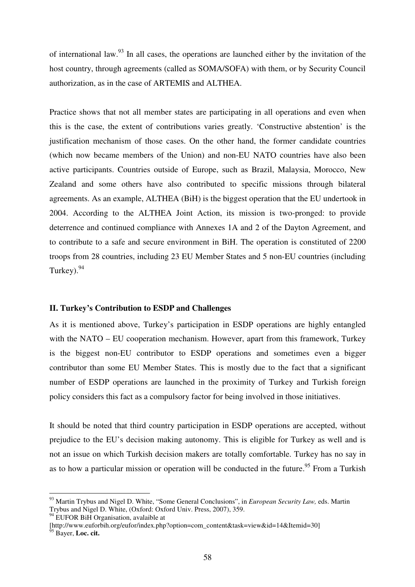of international law.<sup>93</sup> In all cases, the operations are launched either by the invitation of the host country, through agreements (called as SOMA/SOFA) with them, or by Security Council authorization, as in the case of ARTEMIS and ALTHEA.

Practice shows that not all member states are participating in all operations and even when this is the case, the extent of contributions varies greatly. 'Constructive abstention' is the justification mechanism of those cases. On the other hand, the former candidate countries (which now became members of the Union) and non-EU NATO countries have also been active participants. Countries outside of Europe, such as Brazil, Malaysia, Morocco, New Zealand and some others have also contributed to specific missions through bilateral agreements. As an example, ALTHEA (BiH) is the biggest operation that the EU undertook in 2004. According to the ALTHEA Joint Action, its mission is two-pronged: to provide deterrence and continued compliance with Annexes 1A and 2 of the Dayton Agreement, and to contribute to a safe and secure environment in BiH. The operation is constituted of 2200 troops from 28 countries, including 23 EU Member States and 5 non-EU countries (including Turkey). $94$ 

## **II. Turkey's Contribution to ESDP and Challenges**

As it is mentioned above, Turkey's participation in ESDP operations are highly entangled with the NATO – EU cooperation mechanism. However, apart from this framework, Turkey is the biggest non-EU contributor to ESDP operations and sometimes even a bigger contributor than some EU Member States. This is mostly due to the fact that a significant number of ESDP operations are launched in the proximity of Turkey and Turkish foreign policy considers this fact as a compulsory factor for being involved in those initiatives.

It should be noted that third country participation in ESDP operations are accepted, without prejudice to the EU's decision making autonomy. This is eligible for Turkey as well and is not an issue on which Turkish decision makers are totally comfortable. Turkey has no say in as to how a particular mission or operation will be conducted in the future.<sup>95</sup> From a Turkish

<sup>93</sup> Martin Trybus and Nigel D. White, "Some General Conclusions", in *European Security Law,* eds. Martin Trybus and Nigel D. White, (Oxford: Oxford Univ. Press, 2007), 359.

 $94$  EUFOR BiH Organisation, avalaible at

<sup>[</sup>http://www.euforbih.org/eufor/index.php?option=com\_content&task=view&id=14&Itemid=30] <sup>95</sup> Bayer, **Loc. cit.**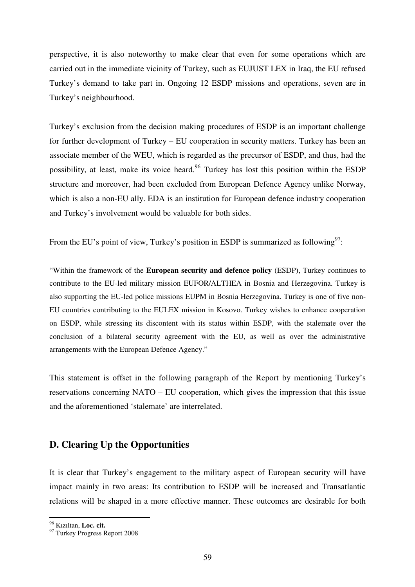perspective, it is also noteworthy to make clear that even for some operations which are carried out in the immediate vicinity of Turkey, such as EUJUST LEX in Iraq, the EU refused Turkey's demand to take part in. Ongoing 12 ESDP missions and operations, seven are in Turkey's neighbourhood.

Turkey's exclusion from the decision making procedures of ESDP is an important challenge for further development of Turkey – EU cooperation in security matters. Turkey has been an associate member of the WEU, which is regarded as the precursor of ESDP, and thus, had the possibility, at least, make its voice heard.<sup>96</sup> Turkey has lost this position within the ESDP structure and moreover, had been excluded from European Defence Agency unlike Norway, which is also a non-EU ally. EDA is an institution for European defence industry cooperation and Turkey's involvement would be valuable for both sides.

From the EU's point of view, Turkey's position in ESDP is summarized as following<sup>97</sup>:

"Within the framework of the **European security and defence policy** (ESDP), Turkey continues to contribute to the EU-led military mission EUFOR/ALTHEA in Bosnia and Herzegovina. Turkey is also supporting the EU-led police missions EUPM in Bosnia Herzegovina. Turkey is one of five non-EU countries contributing to the EULEX mission in Kosovo. Turkey wishes to enhance cooperation on ESDP, while stressing its discontent with its status within ESDP, with the stalemate over the conclusion of a bilateral security agreement with the EU, as well as over the administrative arrangements with the European Defence Agency."

This statement is offset in the following paragraph of the Report by mentioning Turkey's reservations concerning NATO – EU cooperation, which gives the impression that this issue and the aforementioned 'stalemate' are interrelated.

## **D. Clearing Up the Opportunities**

It is clear that Turkey's engagement to the military aspect of European security will have impact mainly in two areas: Its contribution to ESDP will be increased and Transatlantic relations will be shaped in a more effective manner. These outcomes are desirable for both

<sup>96</sup> Kızıltan, **Loc. cit.** 

<sup>97</sup> Turkey Progress Report 2008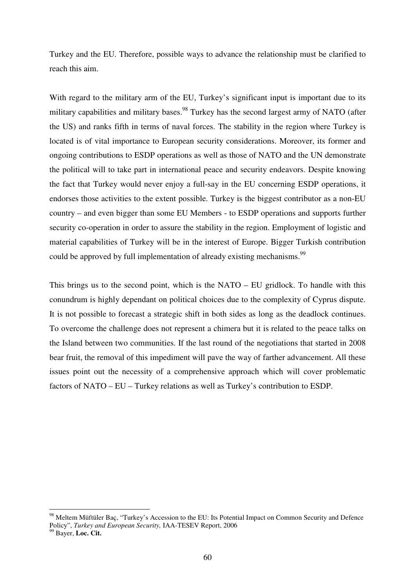Turkey and the EU. Therefore, possible ways to advance the relationship must be clarified to reach this aim.

With regard to the military arm of the EU, Turkey's significant input is important due to its military capabilities and military bases.<sup>98</sup> Turkey has the second largest army of NATO (after the US) and ranks fifth in terms of naval forces. The stability in the region where Turkey is located is of vital importance to European security considerations. Moreover, its former and ongoing contributions to ESDP operations as well as those of NATO and the UN demonstrate the political will to take part in international peace and security endeavors. Despite knowing the fact that Turkey would never enjoy a full-say in the EU concerning ESDP operations, it endorses those activities to the extent possible. Turkey is the biggest contributor as a non-EU country – and even bigger than some EU Members - to ESDP operations and supports further security co-operation in order to assure the stability in the region. Employment of logistic and material capabilities of Turkey will be in the interest of Europe. Bigger Turkish contribution could be approved by full implementation of already existing mechanisms.<sup>99</sup>

This brings us to the second point, which is the NATO – EU gridlock. To handle with this conundrum is highly dependant on political choices due to the complexity of Cyprus dispute. It is not possible to forecast a strategic shift in both sides as long as the deadlock continues. To overcome the challenge does not represent a chimera but it is related to the peace talks on the Island between two communities. If the last round of the negotiations that started in 2008 bear fruit, the removal of this impediment will pave the way of farther advancement. All these issues point out the necessity of a comprehensive approach which will cover problematic factors of NATO – EU – Turkey relations as well as Turkey's contribution to ESDP.

<sup>98</sup> Meltem Müftüler Baç, "Turkey's Accession to the EU: Its Potential Impact on Common Security and Defence Policy", *Turkey and European Security,* IAA-TESEV Report, 2006

<sup>99</sup> Bayer, **Loc. Cit.**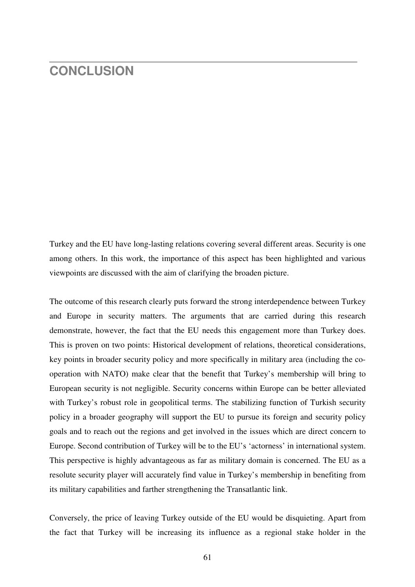## **CONCLUSION**

Turkey and the EU have long-lasting relations covering several different areas. Security is one among others. In this work, the importance of this aspect has been highlighted and various viewpoints are discussed with the aim of clarifying the broaden picture.

The outcome of this research clearly puts forward the strong interdependence between Turkey and Europe in security matters. The arguments that are carried during this research demonstrate, however, the fact that the EU needs this engagement more than Turkey does. This is proven on two points: Historical development of relations, theoretical considerations, key points in broader security policy and more specifically in military area (including the cooperation with NATO) make clear that the benefit that Turkey's membership will bring to European security is not negligible. Security concerns within Europe can be better alleviated with Turkey's robust role in geopolitical terms. The stabilizing function of Turkish security policy in a broader geography will support the EU to pursue its foreign and security policy goals and to reach out the regions and get involved in the issues which are direct concern to Europe. Second contribution of Turkey will be to the EU's 'actorness' in international system. This perspective is highly advantageous as far as military domain is concerned. The EU as a resolute security player will accurately find value in Turkey's membership in benefiting from its military capabilities and farther strengthening the Transatlantic link.

Conversely, the price of leaving Turkey outside of the EU would be disquieting. Apart from the fact that Turkey will be increasing its influence as a regional stake holder in the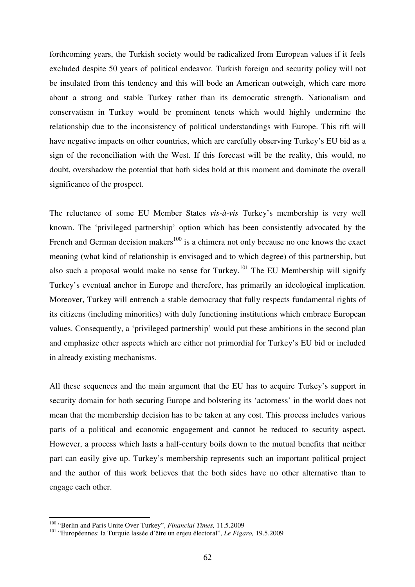forthcoming years, the Turkish society would be radicalized from European values if it feels excluded despite 50 years of political endeavor. Turkish foreign and security policy will not be insulated from this tendency and this will bode an American outweigh, which care more about a strong and stable Turkey rather than its democratic strength. Nationalism and conservatism in Turkey would be prominent tenets which would highly undermine the relationship due to the inconsistency of political understandings with Europe. This rift will have negative impacts on other countries, which are carefully observing Turkey's EU bid as a sign of the reconciliation with the West. If this forecast will be the reality, this would, no doubt, overshadow the potential that both sides hold at this moment and dominate the overall significance of the prospect.

The reluctance of some EU Member States *vis-à-vis* Turkey's membership is very well known. The 'privileged partnership' option which has been consistently advocated by the French and German decision makers<sup>100</sup> is a chimera not only because no one knows the exact meaning (what kind of relationship is envisaged and to which degree) of this partnership, but also such a proposal would make no sense for Turkey.<sup>101</sup> The EU Membership will signify Turkey's eventual anchor in Europe and therefore, has primarily an ideological implication. Moreover, Turkey will entrench a stable democracy that fully respects fundamental rights of its citizens (including minorities) with duly functioning institutions which embrace European values. Consequently, a 'privileged partnership' would put these ambitions in the second plan and emphasize other aspects which are either not primordial for Turkey's EU bid or included in already existing mechanisms.

All these sequences and the main argument that the EU has to acquire Turkey's support in security domain for both securing Europe and bolstering its 'actorness' in the world does not mean that the membership decision has to be taken at any cost. This process includes various parts of a political and economic engagement and cannot be reduced to security aspect. However, a process which lasts a half-century boils down to the mutual benefits that neither part can easily give up. Turkey's membership represents such an important political project and the author of this work believes that the both sides have no other alternative than to engage each other.

<sup>100</sup> "Berlin and Paris Unite Over Turkey", *Financial Times,* 11.5.2009

<sup>101</sup> "Européennes: la Turquie lassée d'être un enjeu électoral", *Le Figaro,* 19.5.2009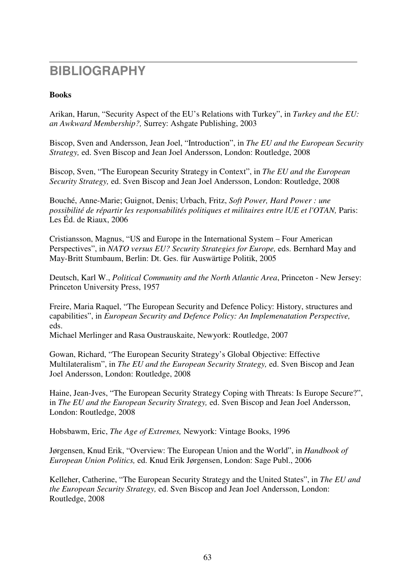## **BIBLIOGRAPHY**

## **Books**

Arikan, Harun, "Security Aspect of the EU's Relations with Turkey", in *Turkey and the EU: an Awkward Membership?,* Surrey: Ashgate Publishing, 2003

Biscop, Sven and Andersson, Jean Joel, "Introduction", in *The EU and the European Security Strategy,* ed. Sven Biscop and Jean Joel Andersson, London: Routledge, 2008

Biscop, Sven, "The European Security Strategy in Context", in *The EU and the European Security Strategy,* ed. Sven Biscop and Jean Joel Andersson, London: Routledge, 2008

Bouché, Anne-Marie; Guignot, Denis; Urbach, Fritz, *Soft Power, Hard Power : une possibilité de répartir les responsabilités politiques et militaires entre lUE et l'OTAN, Paris:* Les Éd. de Riaux, 2006

Cristiansson, Magnus, "US and Europe in the International System – Four American Perspectives", in *NATO versus EU? Security Strategies for Europe,* eds. Bernhard May and May-Britt Stumbaum, Berlin: Dt. Ges. für Auswärtige Politik, 2005

Deutsch, Karl W., *Political Community and the North Atlantic Area*, Princeton - New Jersey: Princeton University Press, 1957

Freire, Maria Raquel, "The European Security and Defence Policy: History, structures and capabilities", in *European Security and Defence Policy: An Implemenatation Perspective,*  eds.

Michael Merlinger and Rasa Oustrauskaite, Newyork: Routledge, 2007

Gowan, Richard, "The European Security Strategy's Global Objective: Effective Multilateralism", in *The EU and the European Security Strategy,* ed. Sven Biscop and Jean Joel Andersson, London: Routledge, 2008

Haine, Jean-Jves, "The European Security Strategy Coping with Threats: Is Europe Secure?", in *The EU and the European Security Strategy,* ed. Sven Biscop and Jean Joel Andersson, London: Routledge, 2008

Hobsbawm, Eric, *The Age of Extremes,* Newyork: Vintage Books, 1996

Jørgensen, Knud Erik, "Overview: The European Union and the World", in *Handbook of European Union Politics,* ed. Knud Erik Jørgensen, London: Sage Publ., 2006

Kelleher, Catherine, "The European Security Strategy and the United States", in *The EU and the European Security Strategy,* ed. Sven Biscop and Jean Joel Andersson, London: Routledge, 2008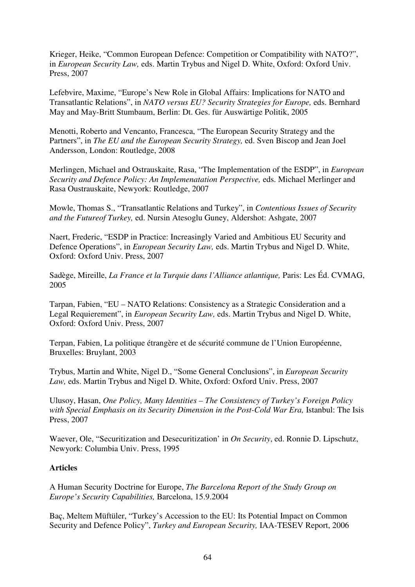Krieger, Heike, "Common European Defence: Competition or Compatibility with NATO?", in *European Security Law,* eds. Martin Trybus and Nigel D. White, Oxford: Oxford Univ. Press, 2007

Lefebvire, Maxime, "Europe's New Role in Global Affairs: Implications for NATO and Transatlantic Relations", in *NATO versus EU? Security Strategies for Europe,* eds. Bernhard May and May-Britt Stumbaum, Berlin: Dt. Ges. für Auswärtige Politik, 2005

Menotti, Roberto and Vencanto, Francesca, "The European Security Strategy and the Partners", in *The EU and the European Security Strategy,* ed. Sven Biscop and Jean Joel Andersson, London: Routledge, 2008

Merlingen, Michael and Ostrauskaite, Rasa, "The Implementation of the ESDP", in *European Security and Defence Policy: An Implemenatation Perspective,* eds. Michael Merlinger and Rasa Oustrauskaite, Newyork: Routledge, 2007

Mowle, Thomas S., "Transatlantic Relations and Turkey", in *Contentious Issues of Security and the Futureof Turkey,* ed. Nursin Atesoglu Guney, Aldershot: Ashgate, 2007

Naert, Frederic, "ESDP in Practice: Increasingly Varied and Ambitious EU Security and Defence Operations", in *European Security Law,* eds. Martin Trybus and Nigel D. White, Oxford: Oxford Univ. Press, 2007

Sadège, Mireille, *La France et la Turquie dans l'Alliance atlantique,* Paris: Les Éd. CVMAG, 2005

Tarpan, Fabien, "EU – NATO Relations: Consistency as a Strategic Consideration and a Legal Requierement", in *European Security Law,* eds. Martin Trybus and Nigel D. White, Oxford: Oxford Univ. Press, 2007

Terpan, Fabien, La politique étrangère et de sécurité commune de l'Union Européenne, Bruxelles: Bruylant, 2003

Trybus, Martin and White, Nigel D., "Some General Conclusions", in *European Security Law,* eds. Martin Trybus and Nigel D. White, Oxford: Oxford Univ. Press, 2007

Ulusoy, Hasan, *One Policy, Many Identities – The Consistency of Turkey's Foreign Policy with Special Emphasis on its Security Dimension in the Post-Cold War Era,* Istanbul: The Isis Press, 2007

Waever, Ole, "Securitization and Desecuritization' in *On Security*, ed. Ronnie D. Lipschutz, Newyork: Columbia Univ. Press, 1995

## **Articles**

A Human Security Doctrine for Europe, *The Barcelona Report of the Study Group on Europe's Security Capabilities,* Barcelona, 15.9.2004

Baç, Meltem Müftüler, "Turkey's Accession to the EU: Its Potential Impact on Common Security and Defence Policy", *Turkey and European Security,* IAA-TESEV Report, 2006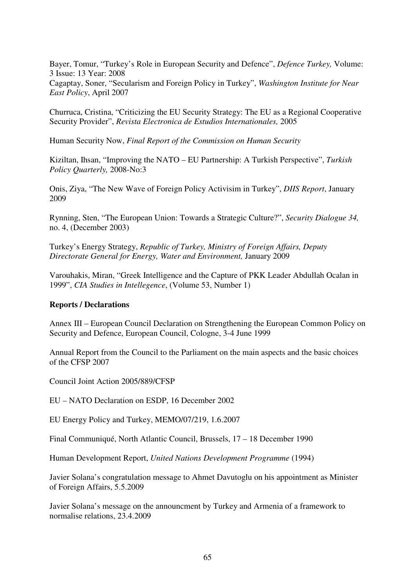Bayer, Tomur, "Turkey's Role in European Security and Defence", *Defence Turkey,* Volume: 3 Issue: 13 Year: 2008 Cagaptay, Soner, "Secularism and Foreign Policy in Turkey", *Washington Institute for Near East Policy*, April 2007

Churruca, Cristina, "Criticizing the EU Security Strategy: The EU as a Regional Cooperative Security Provider", *Revista Electronica de Estudios Internationales,* 2005

Human Security Now, *Final Report of the Commission on Human Security* 

Kiziltan, Ihsan, "Improving the NATO – EU Partnership: A Turkish Perspective", *Turkish Policy Quarterly,* 2008-No:3

Onis, Ziya, "The New Wave of Foreign Policy Activisim in Turkey", *DIIS Report*, January 2009

Rynning, Sten, "The European Union: Towards a Strategic Culture?", *Security Dialogue 34,*  no. 4, (December 2003)

Turkey's Energy Strategy, *Republic of Turkey, Ministry of Foreign Affairs, Deputy Directorate General for Energy, Water and Environment,* January 2009

Varouhakis, Miran, "Greek Intelligence and the Capture of PKK Leader Abdullah Ocalan in 1999", *CIA Studies in Intellegence*, (Volume 53, Number 1)

#### **Reports / Declarations**

Annex III – European Council Declaration on Strengthening the European Common Policy on Security and Defence, European Council, Cologne, 3-4 June 1999

Annual Report from the Council to the Parliament on the main aspects and the basic choices of the CFSP 2007

Council Joint Action 2005/889/CFSP

EU – NATO Declaration on ESDP, 16 December 2002

EU Energy Policy and Turkey, MEMO/07/219, 1.6.2007

Final Communiqué, North Atlantic Council, Brussels, 17 – 18 December 1990

Human Development Report, *United Nations Development Programme* (1994)

Javier Solana's congratulation message to Ahmet Davutoglu on his appointment as Minister of Foreign Affairs, 5.5.2009

Javier Solana's message on the announcment by Turkey and Armenia of a framework to normalise relations, 23.4.2009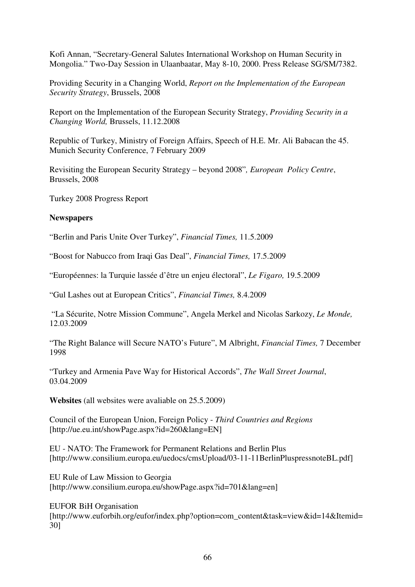Kofi Annan, "Secretary-General Salutes International Workshop on Human Security in Mongolia." Two-Day Session in Ulaanbaatar, May 8-10, 2000. Press Release SG/SM/7382.

Providing Security in a Changing World, *Report on the Implementation of the European Security Strategy*, Brussels, 2008

Report on the Implementation of the European Security Strategy, *Providing Security in a Changing World,* Brussels, 11.12.2008

Republic of Turkey, Ministry of Foreign Affairs, Speech of H.E. Mr. Ali Babacan the 45. Munich Security Conference, 7 February 2009

Revisiting the European Security Strategy – beyond 2008"*, European Policy Centre*, Brussels, 2008

Turkey 2008 Progress Report

## **Newspapers**

"Berlin and Paris Unite Over Turkey", *Financial Times,* 11.5.2009

"Boost for Nabucco from Iraqi Gas Deal", *Financial Times,* 17.5.2009

"Européennes: la Turquie lassée d'être un enjeu électoral", *Le Figaro,* 19.5.2009

"Gul Lashes out at European Critics", *Financial Times,* 8.4.2009

 "La Sécurite, Notre Mission Commune", Angela Merkel and Nicolas Sarkozy, *Le Monde,*  12.03.2009

"The Right Balance will Secure NATO's Future", M Albright, *Financial Times,* 7 December 1998

"Turkey and Armenia Pave Way for Historical Accords", *The Wall Street Journal*, 03.04.2009

**Websites** (all websites were avaliable on 25.5.2009)

Council of the European Union, Foreign Policy - *Third Countries and Regions*  [http://ue.eu.int/showPage.aspx?id=260&lang=EN]

EU - NATO: The Framework for Permanent Relations and Berlin Plus [http://www.consilium.europa.eu/uedocs/cmsUpload/03-11-11BerlinPluspressnoteBL.pdf]

EU Rule of Law Mission to Georgia [http://www.consilium.europa.eu/showPage.aspx?id=701&lang=en]

EUFOR BiH Organisation [http://www.euforbih.org/eufor/index.php?option=com\_content&task=view&id=14&Itemid= 30]